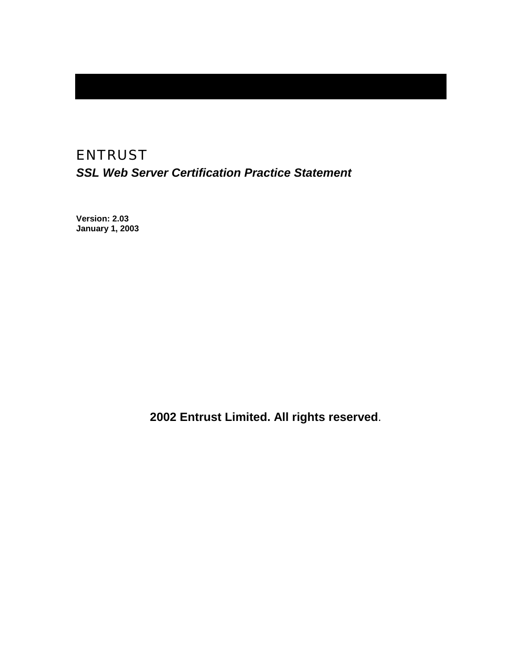# ENTRUST *SSL Web Server Certification Practice Statement*

**Version: 2.03 January 1, 2003** 

 **2002 Entrust Limited. All rights reserved**.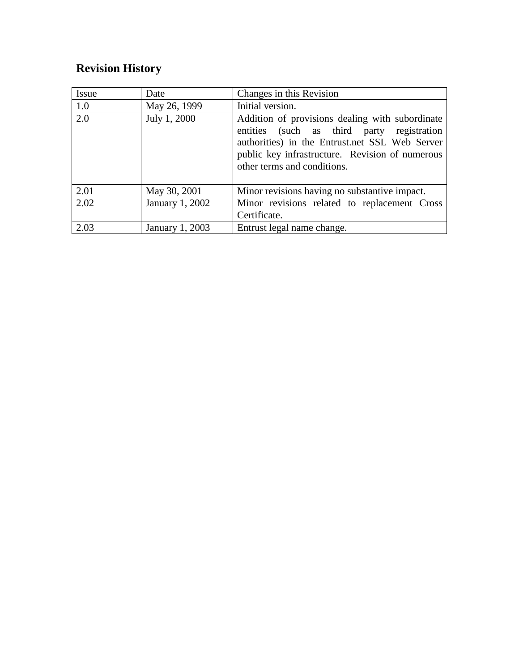# **Revision History**

| <b>Issue</b> | Date            | Changes in this Revision                                                                                                                                                                                                          |
|--------------|-----------------|-----------------------------------------------------------------------------------------------------------------------------------------------------------------------------------------------------------------------------------|
| 1.0          | May 26, 1999    | Initial version.                                                                                                                                                                                                                  |
| 2.0          | July 1, 2000    | Addition of provisions dealing with subordinate<br>entities (such as third party registration<br>authorities) in the Entrust.net SSL Web Server<br>public key infrastructure. Revision of numerous<br>other terms and conditions. |
| 2.01         | May 30, 2001    | Minor revisions having no substantive impact.                                                                                                                                                                                     |
| 2.02         | January 1, 2002 | Minor revisions related to replacement Cross                                                                                                                                                                                      |
|              |                 | Certificate.                                                                                                                                                                                                                      |
| 2.03         | January 1, 2003 | Entrust legal name change.                                                                                                                                                                                                        |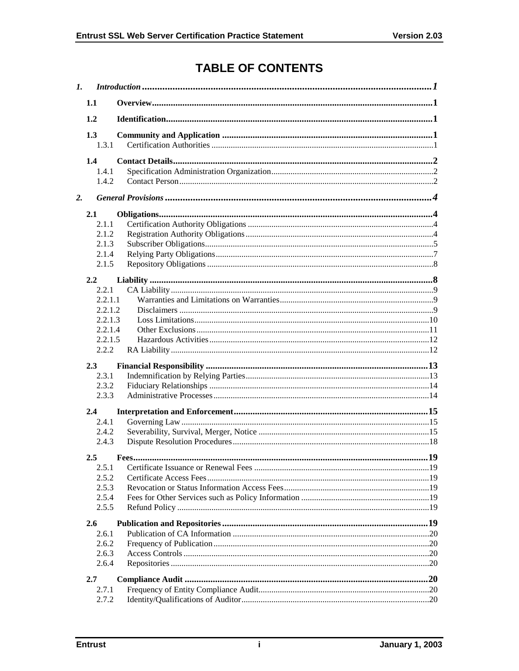# **TABLE OF CONTENTS**

| $\mathbf{I}$ . |                  |  |  |
|----------------|------------------|--|--|
|                | 1.1              |  |  |
|                | 1.2              |  |  |
|                | 1.3              |  |  |
|                | 1.3.1            |  |  |
|                | $1.4^{\circ}$    |  |  |
|                | 1.4.1            |  |  |
|                | 1.4.2            |  |  |
| 2.             |                  |  |  |
|                | 2.1              |  |  |
|                | 2.1.1            |  |  |
|                | 2.1.2            |  |  |
|                | 2.1.3            |  |  |
|                | 2.1.4            |  |  |
|                | 2.1.5            |  |  |
|                | 2.2              |  |  |
|                | 2.2.1            |  |  |
|                | 2.2.1.1          |  |  |
|                | 2.2.1.2          |  |  |
|                | 2.2.1.3          |  |  |
|                | 2.2.1.4          |  |  |
|                | 2.2.1.5<br>2.2.2 |  |  |
|                |                  |  |  |
|                | 2.3              |  |  |
|                | 2.3.1            |  |  |
|                | 2.3.2            |  |  |
|                | 2.3.3            |  |  |
|                | 2.4              |  |  |
|                | 2.4.1            |  |  |
|                | 2.4.2            |  |  |
|                | 2.4.3            |  |  |
|                | 2.5              |  |  |
|                | 2.5.1            |  |  |
|                | 2.5.2            |  |  |
|                | 2.5.3            |  |  |
|                | 2.5.4            |  |  |
|                | 2.5.5            |  |  |
|                | 2.6              |  |  |
|                | 2.6.1            |  |  |
|                | 2.6.2            |  |  |
|                | 2.6.3            |  |  |
|                | 2.6.4            |  |  |
|                | 2.7              |  |  |
|                | 2.7.1            |  |  |
|                | 2.7.2            |  |  |
|                |                  |  |  |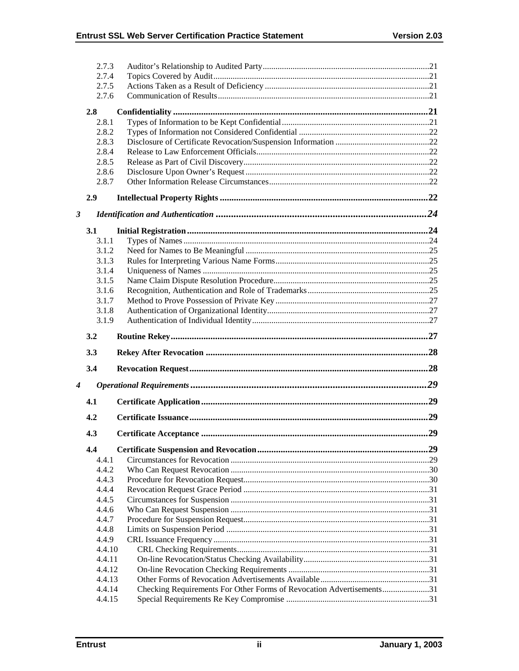|                      | 2.7.3  |                                                                      |  |
|----------------------|--------|----------------------------------------------------------------------|--|
|                      | 2.7.4  |                                                                      |  |
|                      | 2.7.5  |                                                                      |  |
|                      | 2.7.6  |                                                                      |  |
|                      | 2.8    |                                                                      |  |
|                      | 2.8.1  |                                                                      |  |
|                      | 2.8.2  |                                                                      |  |
|                      | 2.8.3  |                                                                      |  |
|                      | 2.8.4  |                                                                      |  |
|                      | 2.8.5  |                                                                      |  |
|                      | 2.8.6  |                                                                      |  |
|                      | 2.8.7  |                                                                      |  |
|                      |        |                                                                      |  |
|                      | 2.9    |                                                                      |  |
| $\boldsymbol{\beta}$ |        |                                                                      |  |
|                      | 3.1    |                                                                      |  |
|                      | 3.1.1  |                                                                      |  |
|                      | 3.1.2  |                                                                      |  |
|                      | 3.1.3  |                                                                      |  |
|                      |        |                                                                      |  |
|                      | 3.1.4  |                                                                      |  |
|                      | 3.1.5  |                                                                      |  |
|                      | 3.1.6  |                                                                      |  |
|                      | 3.1.7  |                                                                      |  |
|                      | 3.1.8  |                                                                      |  |
|                      | 3.1.9  |                                                                      |  |
|                      |        |                                                                      |  |
|                      | 3.2    |                                                                      |  |
|                      | 3.3    |                                                                      |  |
|                      | 3.4    |                                                                      |  |
| 4                    |        |                                                                      |  |
|                      | 4.1    |                                                                      |  |
|                      | 4.2    |                                                                      |  |
|                      | 4.3    |                                                                      |  |
|                      | 4.4    |                                                                      |  |
|                      | 4.4.1  |                                                                      |  |
|                      | 4.4.2  |                                                                      |  |
|                      | 4.4.3  |                                                                      |  |
|                      | 4.4.4  |                                                                      |  |
|                      | 4.4.5  |                                                                      |  |
|                      | 4.4.6  |                                                                      |  |
|                      | 4.4.7  |                                                                      |  |
|                      | 4.4.8  |                                                                      |  |
|                      | 4.4.9  |                                                                      |  |
|                      | 4.4.10 |                                                                      |  |
|                      | 4.4.11 |                                                                      |  |
|                      | 4.4.12 |                                                                      |  |
|                      | 4.4.13 |                                                                      |  |
|                      | 4.4.14 | Checking Requirements For Other Forms of Revocation Advertisements31 |  |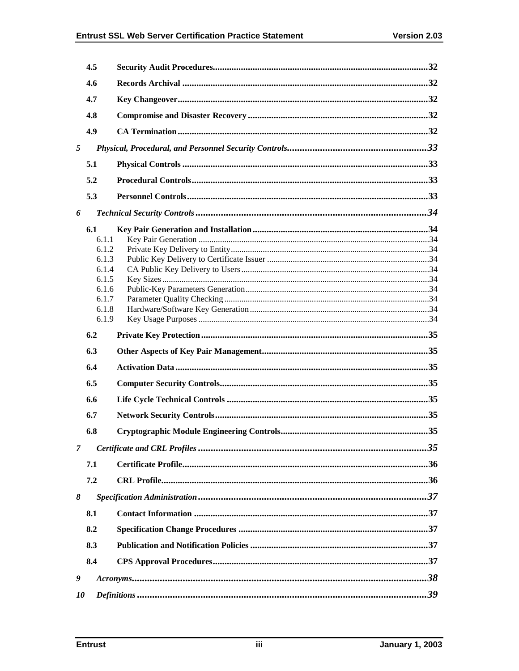| 4.6<br>4.7<br>4.8 |  |
|-------------------|--|
|                   |  |
|                   |  |
|                   |  |
| 4.9               |  |
| 5                 |  |
| 5.1               |  |
| 5.2               |  |
| 5.3               |  |
| 6                 |  |
| 6.1               |  |
| 6.1.1             |  |
| 6.1.2             |  |
| 6.1.3             |  |
| 6.1.4             |  |
| 6.1.5             |  |
| 6.1.6             |  |
| 6.1.7             |  |
| 6.1.8<br>6.1.9    |  |
|                   |  |
| 6.2               |  |
| 6.3               |  |
| 6.4               |  |
| 6.5               |  |
| 6.6               |  |
| 6.7               |  |
| 6.8               |  |
| $\overline{7}$    |  |
| 7.1               |  |
| 7.2               |  |
| 8                 |  |
| 8.1               |  |
| 8.2               |  |
| 8.3               |  |
| 8.4               |  |
| 9                 |  |
| 10                |  |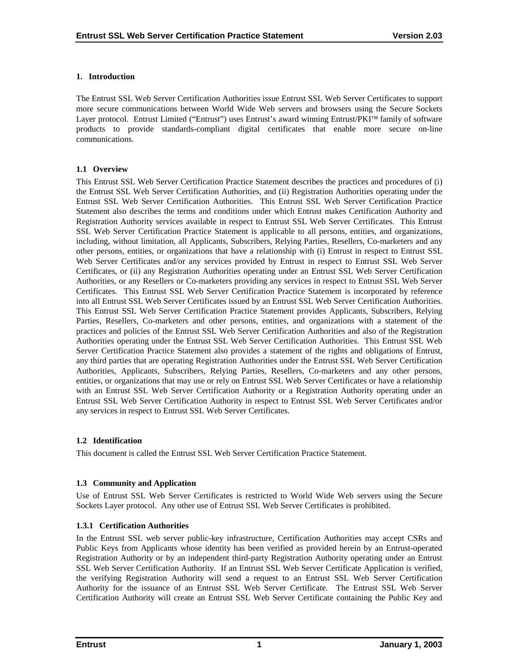# <span id="page-5-0"></span>**1. Introduction**

The Entrust SSL Web Server Certification Authorities issue Entrust SSL Web Server Certificates to support more secure communications between World Wide Web servers and browsers using the Secure Sockets Layer protocol. Entrust Limited ("Entrust") uses Entrust's award winning Entrust/PKI<sup>™</sup> family of software products to provide standards-compliant digital certificates that enable more secure on-line communications.

## **1.1 Overview**

This Entrust SSL Web Server Certification Practice Statement describes the practices and procedures of (i) the Entrust SSL Web Server Certification Authorities, and (ii) Registration Authorities operating under the Entrust SSL Web Server Certification Authorities. This Entrust SSL Web Server Certification Practice Statement also describes the terms and conditions under which Entrust makes Certification Authority and Registration Authority services available in respect to Entrust SSL Web Server Certificates. This Entrust SSL Web Server Certification Practice Statement is applicable to all persons, entities, and organizations, including, without limitation, all Applicants, Subscribers, Relying Parties, Resellers, Co-marketers and any other persons, entities, or organizations that have a relationship with (i) Entrust in respect to Entrust SSL Web Server Certificates and/or any services provided by Entrust in respect to Entrust SSL Web Server Certificates, or (ii) any Registration Authorities operating under an Entrust SSL Web Server Certification Authorities, or any Resellers or Co-marketers providing any services in respect to Entrust SSL Web Server Certificates. This Entrust SSL Web Server Certification Practice Statement is incorporated by reference into all Entrust SSL Web Server Certificates issued by an Entrust SSL Web Server Certification Authorities. This Entrust SSL Web Server Certification Practice Statement provides Applicants, Subscribers, Relying Parties, Resellers, Co-marketers and other persons, entities, and organizations with a statement of the practices and policies of the Entrust SSL Web Server Certification Authorities and also of the Registration Authorities operating under the Entrust SSL Web Server Certification Authorities. This Entrust SSL Web Server Certification Practice Statement also provides a statement of the rights and obligations of Entrust, any third parties that are operating Registration Authorities under the Entrust SSL Web Server Certification Authorities, Applicants, Subscribers, Relying Parties, Resellers, Co-marketers and any other persons, entities, or organizations that may use or rely on Entrust SSL Web Server Certificates or have a relationship with an Entrust SSL Web Server Certification Authority or a Registration Authority operating under an Entrust SSL Web Server Certification Authority in respect to Entrust SSL Web Server Certificates and/or any services in respect to Entrust SSL Web Server Certificates.

# **1.2 Identification**

This document is called the Entrust SSL Web Server Certification Practice Statement.

# **1.3 Community and Application**

Use of Entrust SSL Web Server Certificates is restricted to World Wide Web servers using the Secure Sockets Layer protocol. Any other use of Entrust SSL Web Server Certificates is prohibited.

# **1.3.1 Certification Authorities**

In the Entrust SSL web server public-key infrastructure, Certification Authorities may accept CSRs and Public Keys from Applicants whose identity has been verified as provided herein by an Entrust-operated Registration Authority or by an independent third-party Registration Authority operating under an Entrust SSL Web Server Certification Authority. If an Entrust SSL Web Server Certificate Application is verified, the verifying Registration Authority will send a request to an Entrust SSL Web Server Certification Authority for the issuance of an Entrust SSL Web Server Certificate. The Entrust SSL Web Server Certification Authority will create an Entrust SSL Web Server Certificate containing the Public Key and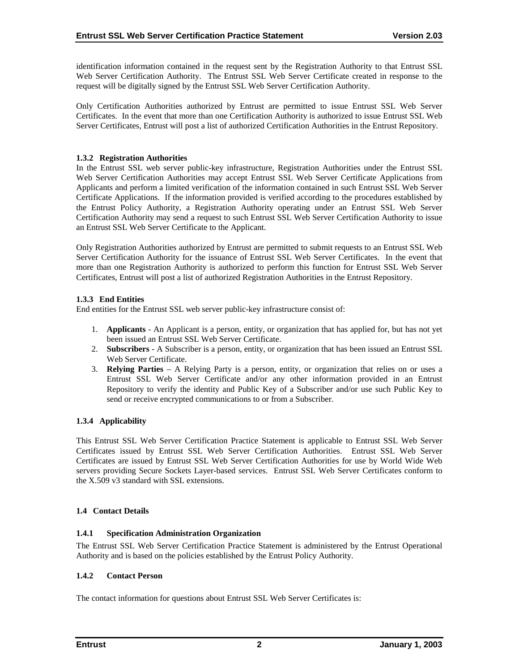<span id="page-6-0"></span>identification information contained in the request sent by the Registration Authority to that Entrust SSL Web Server Certification Authority. The Entrust SSL Web Server Certificate created in response to the request will be digitally signed by the Entrust SSL Web Server Certification Authority.

Only Certification Authorities authorized by Entrust are permitted to issue Entrust SSL Web Server Certificates. In the event that more than one Certification Authority is authorized to issue Entrust SSL Web Server Certificates, Entrust will post a list of authorized Certification Authorities in the Entrust Repository.

# **1.3.2 Registration Authorities**

In the Entrust SSL web server public-key infrastructure, Registration Authorities under the Entrust SSL Web Server Certification Authorities may accept Entrust SSL Web Server Certificate Applications from Applicants and perform a limited verification of the information contained in such Entrust SSL Web Server Certificate Applications. If the information provided is verified according to the procedures established by the Entrust Policy Authority, a Registration Authority operating under an Entrust SSL Web Server Certification Authority may send a request to such Entrust SSL Web Server Certification Authority to issue an Entrust SSL Web Server Certificate to the Applicant.

Only Registration Authorities authorized by Entrust are permitted to submit requests to an Entrust SSL Web Server Certification Authority for the issuance of Entrust SSL Web Server Certificates. In the event that more than one Registration Authority is authorized to perform this function for Entrust SSL Web Server Certificates, Entrust will post a list of authorized Registration Authorities in the Entrust Repository.

# **1.3.3 End Entities**

End entities for the Entrust SSL web server public-key infrastructure consist of:

- 1. **Applicants** An Applicant is a person, entity, or organization that has applied for, but has not yet been issued an Entrust SSL Web Server Certificate.
- 2. **Subscribers**  A Subscriber is a person, entity, or organization that has been issued an Entrust SSL Web Server Certificate.
- 3. **Relying Parties**  A Relying Party is a person, entity, or organization that relies on or uses a Entrust SSL Web Server Certificate and/or any other information provided in an Entrust Repository to verify the identity and Public Key of a Subscriber and/or use such Public Key to send or receive encrypted communications to or from a Subscriber.

# **1.3.4 Applicability**

This Entrust SSL Web Server Certification Practice Statement is applicable to Entrust SSL Web Server Certificates issued by Entrust SSL Web Server Certification Authorities. Entrust SSL Web Server Certificates are issued by Entrust SSL Web Server Certification Authorities for use by World Wide Web servers providing Secure Sockets Layer-based services. Entrust SSL Web Server Certificates conform to the X.509 v3 standard with SSL extensions.

# **1.4 Contact Details**

# **1.4.1 Specification Administration Organization**

The Entrust SSL Web Server Certification Practice Statement is administered by the Entrust Operational Authority and is based on the policies established by the Entrust Policy Authority.

# **1.4.2 Contact Person**

The contact information for questions about Entrust SSL Web Server Certificates is: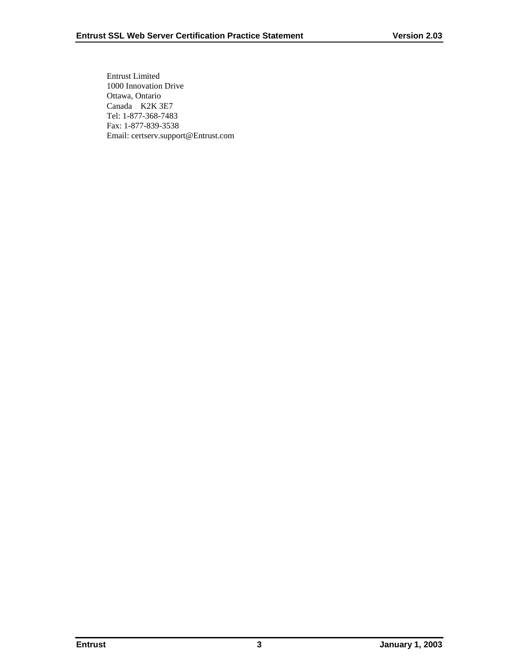Entrust Limited 1000 Innovation Drive Ottawa, Ontario Canada K2K 3E7 Tel: 1-877-368-7483 Fax: 1-877-839-3538 Email: certserv.support@Entrust.com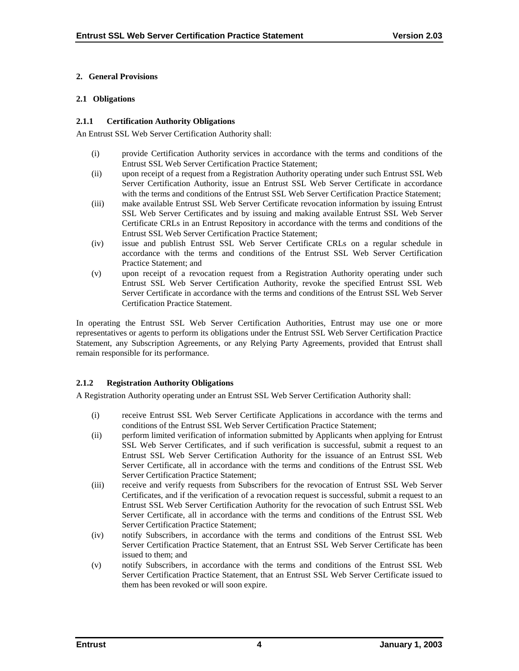## <span id="page-8-0"></span>**2. General Provisions**

## **2.1 Obligations**

## **2.1.1 Certification Authority Obligations**

An Entrust SSL Web Server Certification Authority shall:

- (i) provide Certification Authority services in accordance with the terms and conditions of the Entrust SSL Web Server Certification Practice Statement;
- (ii) upon receipt of a request from a Registration Authority operating under such Entrust SSL Web Server Certification Authority, issue an Entrust SSL Web Server Certificate in accordance with the terms and conditions of the Entrust SSL Web Server Certification Practice Statement;
- (iii) make available Entrust SSL Web Server Certificate revocation information by issuing Entrust SSL Web Server Certificates and by issuing and making available Entrust SSL Web Server Certificate CRLs in an Entrust Repository in accordance with the terms and conditions of the Entrust SSL Web Server Certification Practice Statement;
- (iv) issue and publish Entrust SSL Web Server Certificate CRLs on a regular schedule in accordance with the terms and conditions of the Entrust SSL Web Server Certification Practice Statement; and
- (v) upon receipt of a revocation request from a Registration Authority operating under such Entrust SSL Web Server Certification Authority, revoke the specified Entrust SSL Web Server Certificate in accordance with the terms and conditions of the Entrust SSL Web Server Certification Practice Statement.

In operating the Entrust SSL Web Server Certification Authorities, Entrust may use one or more representatives or agents to perform its obligations under the Entrust SSL Web Server Certification Practice Statement, any Subscription Agreements, or any Relying Party Agreements, provided that Entrust shall remain responsible for its performance.

# **2.1.2 Registration Authority Obligations**

A Registration Authority operating under an Entrust SSL Web Server Certification Authority shall:

- (i) receive Entrust SSL Web Server Certificate Applications in accordance with the terms and conditions of the Entrust SSL Web Server Certification Practice Statement;
- (ii) perform limited verification of information submitted by Applicants when applying for Entrust SSL Web Server Certificates, and if such verification is successful, submit a request to an Entrust SSL Web Server Certification Authority for the issuance of an Entrust SSL Web Server Certificate, all in accordance with the terms and conditions of the Entrust SSL Web Server Certification Practice Statement;
- (iii) receive and verify requests from Subscribers for the revocation of Entrust SSL Web Server Certificates, and if the verification of a revocation request is successful, submit a request to an Entrust SSL Web Server Certification Authority for the revocation of such Entrust SSL Web Server Certificate, all in accordance with the terms and conditions of the Entrust SSL Web Server Certification Practice Statement;
- (iv) notify Subscribers, in accordance with the terms and conditions of the Entrust SSL Web Server Certification Practice Statement, that an Entrust SSL Web Server Certificate has been issued to them; and
- (v) notify Subscribers, in accordance with the terms and conditions of the Entrust SSL Web Server Certification Practice Statement, that an Entrust SSL Web Server Certificate issued to them has been revoked or will soon expire.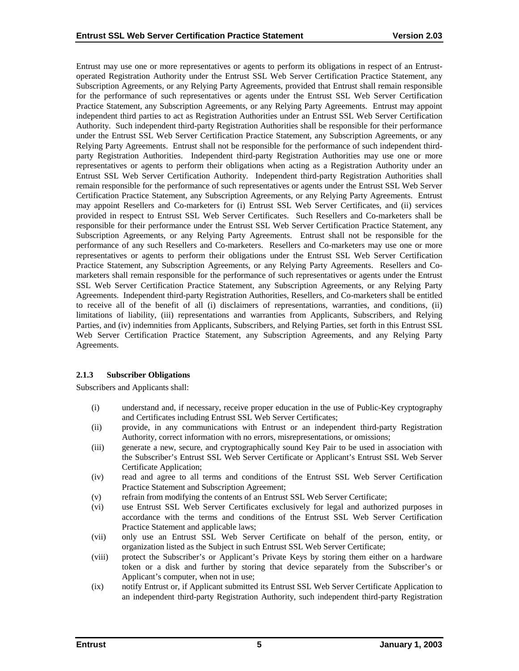<span id="page-9-0"></span>Entrust may use one or more representatives or agents to perform its obligations in respect of an Entrustoperated Registration Authority under the Entrust SSL Web Server Certification Practice Statement, any Subscription Agreements, or any Relying Party Agreements, provided that Entrust shall remain responsible for the performance of such representatives or agents under the Entrust SSL Web Server Certification Practice Statement, any Subscription Agreements, or any Relying Party Agreements. Entrust may appoint independent third parties to act as Registration Authorities under an Entrust SSL Web Server Certification Authority. Such independent third-party Registration Authorities shall be responsible for their performance under the Entrust SSL Web Server Certification Practice Statement, any Subscription Agreements, or any Relying Party Agreements. Entrust shall not be responsible for the performance of such independent thirdparty Registration Authorities. Independent third-party Registration Authorities may use one or more representatives or agents to perform their obligations when acting as a Registration Authority under an Entrust SSL Web Server Certification Authority. Independent third-party Registration Authorities shall remain responsible for the performance of such representatives or agents under the Entrust SSL Web Server Certification Practice Statement, any Subscription Agreements, or any Relying Party Agreements. Entrust may appoint Resellers and Co-marketers for (i) Entrust SSL Web Server Certificates, and (ii) services provided in respect to Entrust SSL Web Server Certificates. Such Resellers and Co-marketers shall be responsible for their performance under the Entrust SSL Web Server Certification Practice Statement, any Subscription Agreements, or any Relying Party Agreements. Entrust shall not be responsible for the performance of any such Resellers and Co-marketers. Resellers and Co-marketers may use one or more representatives or agents to perform their obligations under the Entrust SSL Web Server Certification Practice Statement, any Subscription Agreements, or any Relying Party Agreements. Resellers and Comarketers shall remain responsible for the performance of such representatives or agents under the Entrust SSL Web Server Certification Practice Statement, any Subscription Agreements, or any Relying Party Agreements. Independent third-party Registration Authorities, Resellers, and Co-marketers shall be entitled to receive all of the benefit of all (i) disclaimers of representations, warranties, and conditions, (ii) limitations of liability, (iii) representations and warranties from Applicants, Subscribers, and Relying Parties, and (iv) indemnities from Applicants, Subscribers, and Relying Parties, set forth in this Entrust SSL Web Server Certification Practice Statement, any Subscription Agreements, and any Relying Party Agreements.

# **2.1.3 Subscriber Obligations**

Subscribers and Applicants shall:

- (i) understand and, if necessary, receive proper education in the use of Public-Key cryptography and Certificates including Entrust SSL Web Server Certificates;
- (ii) provide, in any communications with Entrust or an independent third-party Registration Authority, correct information with no errors, misrepresentations, or omissions;
- (iii) generate a new, secure, and cryptographically sound Key Pair to be used in association with the Subscriber's Entrust SSL Web Server Certificate or Applicant's Entrust SSL Web Server Certificate Application;
- (iv) read and agree to all terms and conditions of the Entrust SSL Web Server Certification Practice Statement and Subscription Agreement;
- (v) refrain from modifying the contents of an Entrust SSL Web Server Certificate;
- (vi) use Entrust SSL Web Server Certificates exclusively for legal and authorized purposes in accordance with the terms and conditions of the Entrust SSL Web Server Certification Practice Statement and applicable laws;
- (vii) only use an Entrust SSL Web Server Certificate on behalf of the person, entity, or organization listed as the Subject in such Entrust SSL Web Server Certificate;
- (viii) protect the Subscriber's or Applicant's Private Keys by storing them either on a hardware token or a disk and further by storing that device separately from the Subscriber's or Applicant's computer, when not in use;
- (ix) notify Entrust or, if Applicant submitted its Entrust SSL Web Server Certificate Application to an independent third-party Registration Authority, such independent third-party Registration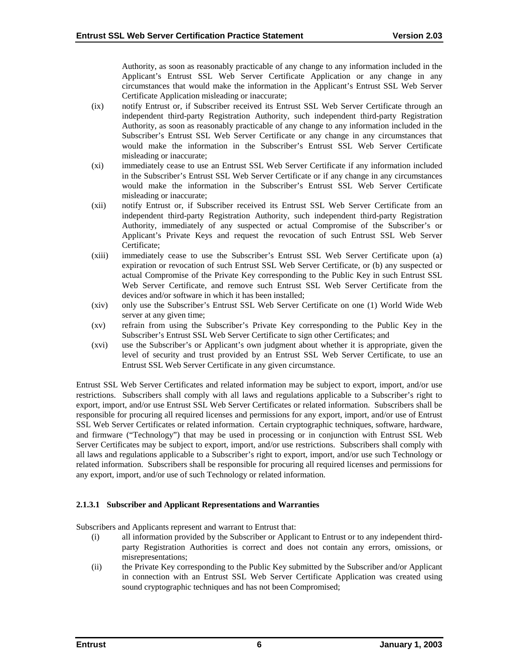Authority, as soon as reasonably practicable of any change to any information included in the Applicant's Entrust SSL Web Server Certificate Application or any change in any circumstances that would make the information in the Applicant's Entrust SSL Web Server Certificate Application misleading or inaccurate;

- (ix) notify Entrust or, if Subscriber received its Entrust SSL Web Server Certificate through an independent third-party Registration Authority, such independent third-party Registration Authority, as soon as reasonably practicable of any change to any information included in the Subscriber's Entrust SSL Web Server Certificate or any change in any circumstances that would make the information in the Subscriber's Entrust SSL Web Server Certificate misleading or inaccurate;
- (xi) immediately cease to use an Entrust SSL Web Server Certificate if any information included in the Subscriber's Entrust SSL Web Server Certificate or if any change in any circumstances would make the information in the Subscriber's Entrust SSL Web Server Certificate misleading or inaccurate;
- (xii) notify Entrust or, if Subscriber received its Entrust SSL Web Server Certificate from an independent third-party Registration Authority, such independent third-party Registration Authority, immediately of any suspected or actual Compromise of the Subscriber's or Applicant's Private Keys and request the revocation of such Entrust SSL Web Server Certificate;
- (xiii) immediately cease to use the Subscriber's Entrust SSL Web Server Certificate upon (a) expiration or revocation of such Entrust SSL Web Server Certificate, or (b) any suspected or actual Compromise of the Private Key corresponding to the Public Key in such Entrust SSL Web Server Certificate, and remove such Entrust SSL Web Server Certificate from the devices and/or software in which it has been installed;
- (xiv) only use the Subscriber's Entrust SSL Web Server Certificate on one (1) World Wide Web server at any given time;
- (xv) refrain from using the Subscriber's Private Key corresponding to the Public Key in the Subscriber's Entrust SSL Web Server Certificate to sign other Certificates; and
- (xvi) use the Subscriber's or Applicant's own judgment about whether it is appropriate, given the level of security and trust provided by an Entrust SSL Web Server Certificate, to use an Entrust SSL Web Server Certificate in any given circumstance.

Entrust SSL Web Server Certificates and related information may be subject to export, import, and/or use restrictions. Subscribers shall comply with all laws and regulations applicable to a Subscriber's right to export, import, and/or use Entrust SSL Web Server Certificates or related information. Subscribers shall be responsible for procuring all required licenses and permissions for any export, import, and/or use of Entrust SSL Web Server Certificates or related information. Certain cryptographic techniques, software, hardware, and firmware ("Technology") that may be used in processing or in conjunction with Entrust SSL Web Server Certificates may be subject to export, import, and/or use restrictions. Subscribers shall comply with all laws and regulations applicable to a Subscriber's right to export, import, and/or use such Technology or related information. Subscribers shall be responsible for procuring all required licenses and permissions for any export, import, and/or use of such Technology or related information.

# **2.1.3.1 Subscriber and Applicant Representations and Warranties**

Subscribers and Applicants represent and warrant to Entrust that:

- (i) all information provided by the Subscriber or Applicant to Entrust or to any independent thirdparty Registration Authorities is correct and does not contain any errors, omissions, or misrepresentations;
- (ii) the Private Key corresponding to the Public Key submitted by the Subscriber and/or Applicant in connection with an Entrust SSL Web Server Certificate Application was created using sound cryptographic techniques and has not been Compromised;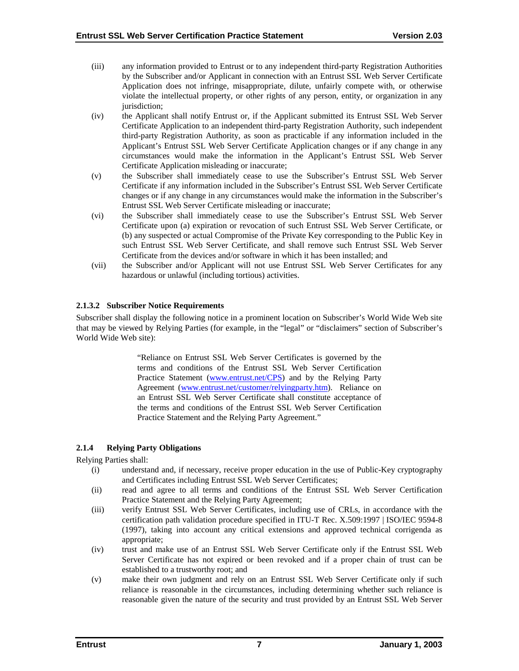- <span id="page-11-0"></span>(iii) any information provided to Entrust or to any independent third-party Registration Authorities by the Subscriber and/or Applicant in connection with an Entrust SSL Web Server Certificate Application does not infringe, misappropriate, dilute, unfairly compete with, or otherwise violate the intellectual property, or other rights of any person, entity, or organization in any jurisdiction;
- (iv) the Applicant shall notify Entrust or, if the Applicant submitted its Entrust SSL Web Server Certificate Application to an independent third-party Registration Authority, such independent third-party Registration Authority, as soon as practicable if any information included in the Applicant's Entrust SSL Web Server Certificate Application changes or if any change in any circumstances would make the information in the Applicant's Entrust SSL Web Server Certificate Application misleading or inaccurate;
- (v) the Subscriber shall immediately cease to use the Subscriber's Entrust SSL Web Server Certificate if any information included in the Subscriber's Entrust SSL Web Server Certificate changes or if any change in any circumstances would make the information in the Subscriber's Entrust SSL Web Server Certificate misleading or inaccurate;
- (vi) the Subscriber shall immediately cease to use the Subscriber's Entrust SSL Web Server Certificate upon (a) expiration or revocation of such Entrust SSL Web Server Certificate, or (b) any suspected or actual Compromise of the Private Key corresponding to the Public Key in such Entrust SSL Web Server Certificate, and shall remove such Entrust SSL Web Server Certificate from the devices and/or software in which it has been installed; and
- (vii) the Subscriber and/or Applicant will not use Entrust SSL Web Server Certificates for any hazardous or unlawful (including tortious) activities.

# **2.1.3.2 Subscriber Notice Requirements**

Subscriber shall display the following notice in a prominent location on Subscriber's World Wide Web site that may be viewed by Relying Parties (for example, in the "legal" or "disclaimers" section of Subscriber's World Wide Web site):

> "Reliance on Entrust SSL Web Server Certificates is governed by the terms and conditions of the Entrust SSL Web Server Certification Practice Statement [\(www.entrust.net/CPS\)](http://www.entrust.net/CPS) and by the Relying Party Agreement ([www.entrust.net/customer/relyingparty.htm\)](http://www.entrust.net/?). Reliance on an Entrust SSL Web Server Certificate shall constitute acceptance of the terms and conditions of the Entrust SSL Web Server Certification Practice Statement and the Relying Party Agreement."

# **2.1.4 Relying Party Obligations**

Relying Parties shall:

- (i) understand and, if necessary, receive proper education in the use of Public-Key cryptography and Certificates including Entrust SSL Web Server Certificates;
- (ii) read and agree to all terms and conditions of the Entrust SSL Web Server Certification Practice Statement and the Relying Party Agreement;
- (iii) verify Entrust SSL Web Server Certificates, including use of CRLs, in accordance with the certification path validation procedure specified in ITU-T Rec. X.509:1997 | ISO/IEC 9594-8 (1997), taking into account any critical extensions and approved technical corrigenda as appropriate;
- (iv) trust and make use of an Entrust SSL Web Server Certificate only if the Entrust SSL Web Server Certificate has not expired or been revoked and if a proper chain of trust can be established to a trustworthy root; and
- (v) make their own judgment and rely on an Entrust SSL Web Server Certificate only if such reliance is reasonable in the circumstances, including determining whether such reliance is reasonable given the nature of the security and trust provided by an Entrust SSL Web Server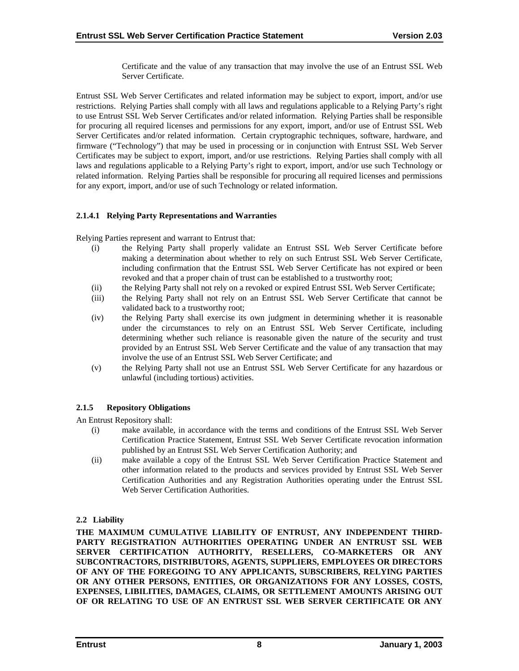Certificate and the value of any transaction that may involve the use of an Entrust SSL Web Server Certificate.

<span id="page-12-0"></span>Entrust SSL Web Server Certificates and related information may be subject to export, import, and/or use restrictions. Relying Parties shall comply with all laws and regulations applicable to a Relying Party's right to use Entrust SSL Web Server Certificates and/or related information. Relying Parties shall be responsible for procuring all required licenses and permissions for any export, import, and/or use of Entrust SSL Web Server Certificates and/or related information. Certain cryptographic techniques, software, hardware, and firmware ("Technology") that may be used in processing or in conjunction with Entrust SSL Web Server Certificates may be subject to export, import, and/or use restrictions. Relying Parties shall comply with all laws and regulations applicable to a Relying Party's right to export, import, and/or use such Technology or related information. Relying Parties shall be responsible for procuring all required licenses and permissions for any export, import, and/or use of such Technology or related information.

# **2.1.4.1 Relying Party Representations and Warranties**

Relying Parties represent and warrant to Entrust that:

- (i) the Relying Party shall properly validate an Entrust SSL Web Server Certificate before making a determination about whether to rely on such Entrust SSL Web Server Certificate, including confirmation that the Entrust SSL Web Server Certificate has not expired or been revoked and that a proper chain of trust can be established to a trustworthy root;
- (ii) the Relying Party shall not rely on a revoked or expired Entrust SSL Web Server Certificate;
- (iii) the Relying Party shall not rely on an Entrust SSL Web Server Certificate that cannot be validated back to a trustworthy root;
- (iv) the Relying Party shall exercise its own judgment in determining whether it is reasonable under the circumstances to rely on an Entrust SSL Web Server Certificate, including determining whether such reliance is reasonable given the nature of the security and trust provided by an Entrust SSL Web Server Certificate and the value of any transaction that may involve the use of an Entrust SSL Web Server Certificate; and
- (v) the Relying Party shall not use an Entrust SSL Web Server Certificate for any hazardous or unlawful (including tortious) activities.

# **2.1.5 Repository Obligations**

An Entrust Repository shall:

- (i) make available, in accordance with the terms and conditions of the Entrust SSL Web Server Certification Practice Statement, Entrust SSL Web Server Certificate revocation information published by an Entrust SSL Web Server Certification Authority; and
- (ii) make available a copy of the Entrust SSL Web Server Certification Practice Statement and other information related to the products and services provided by Entrust SSL Web Server Certification Authorities and any Registration Authorities operating under the Entrust SSL Web Server Certification Authorities.

# **2.2 Liability**

**THE MAXIMUM CUMULATIVE LIABILITY OF ENTRUST, ANY INDEPENDENT THIRD-PARTY REGISTRATION AUTHORITIES OPERATING UNDER AN ENTRUST SSL WEB SERVER CERTIFICATION AUTHORITY, RESELLERS, CO-MARKETERS OR ANY SUBCONTRACTORS, DISTRIBUTORS, AGENTS, SUPPLIERS, EMPLOYEES OR DIRECTORS OF ANY OF THE FOREGOING TO ANY APPLICANTS, SUBSCRIBERS, RELYING PARTIES OR ANY OTHER PERSONS, ENTITIES, OR ORGANIZATIONS FOR ANY LOSSES, COSTS, EXPENSES, LIBILITIES, DAMAGES, CLAIMS, OR SETTLEMENT AMOUNTS ARISING OUT OF OR RELATING TO USE OF AN ENTRUST SSL WEB SERVER CERTIFICATE OR ANY**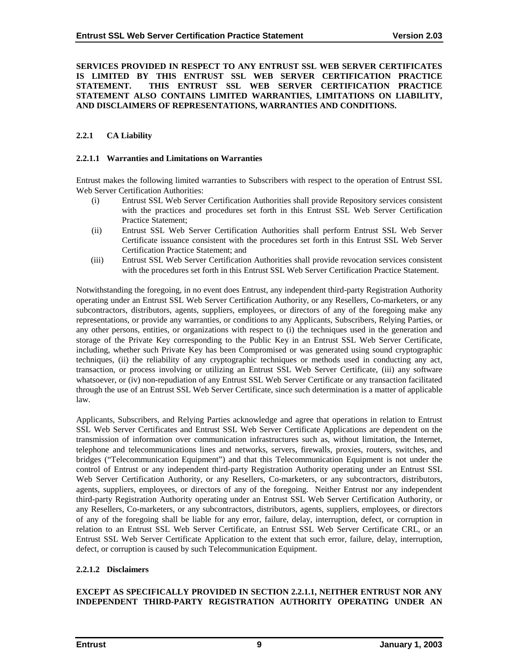#### <span id="page-13-0"></span>**SERVICES PROVIDED IN RESPECT TO ANY ENTRUST SSL WEB SERVER CERTIFICATES IS LIMITED BY THIS ENTRUST SSL WEB SERVER CERTIFICATION PRACTICE STATEMENT. THIS ENTRUST SSL WEB SERVER CERTIFICATION PRACTICE STATEMENT ALSO CONTAINS LIMITED WARRANTIES, LIMITATIONS ON LIABILITY, AND DISCLAIMERS OF REPRESENTATIONS, WARRANTIES AND CONDITIONS.**

# **2.2.1 CA Liability**

#### **2.2.1.1 Warranties and Limitations on Warranties**

Entrust makes the following limited warranties to Subscribers with respect to the operation of Entrust SSL Web Server Certification Authorities:

- (i) Entrust SSL Web Server Certification Authorities shall provide Repository services consistent with the practices and procedures set forth in this Entrust SSL Web Server Certification Practice Statement;
- (ii) Entrust SSL Web Server Certification Authorities shall perform Entrust SSL Web Server Certificate issuance consistent with the procedures set forth in this Entrust SSL Web Server Certification Practice Statement; and
- (iii) Entrust SSL Web Server Certification Authorities shall provide revocation services consistent with the procedures set forth in this Entrust SSL Web Server Certification Practice Statement.

Notwithstanding the foregoing, in no event does Entrust, any independent third-party Registration Authority operating under an Entrust SSL Web Server Certification Authority, or any Resellers, Co-marketers, or any subcontractors, distributors, agents, suppliers, employees, or directors of any of the foregoing make any representations, or provide any warranties, or conditions to any Applicants, Subscribers, Relying Parties, or any other persons, entities, or organizations with respect to (i) the techniques used in the generation and storage of the Private Key corresponding to the Public Key in an Entrust SSL Web Server Certificate, including, whether such Private Key has been Compromised or was generated using sound cryptographic techniques, (ii) the reliability of any cryptographic techniques or methods used in conducting any act, transaction, or process involving or utilizing an Entrust SSL Web Server Certificate, (iii) any software whatsoever, or (iv) non-repudiation of any Entrust SSL Web Server Certificate or any transaction facilitated through the use of an Entrust SSL Web Server Certificate, since such determination is a matter of applicable law.

Applicants, Subscribers, and Relying Parties acknowledge and agree that operations in relation to Entrust SSL Web Server Certificates and Entrust SSL Web Server Certificate Applications are dependent on the transmission of information over communication infrastructures such as, without limitation, the Internet, telephone and telecommunications lines and networks, servers, firewalls, proxies, routers, switches, and bridges ("Telecommunication Equipment") and that this Telecommunication Equipment is not under the control of Entrust or any independent third-party Registration Authority operating under an Entrust SSL Web Server Certification Authority, or any Resellers, Co-marketers, or any subcontractors, distributors, agents, suppliers, employees, or directors of any of the foregoing. Neither Entrust nor any independent third-party Registration Authority operating under an Entrust SSL Web Server Certification Authority, or any Resellers, Co-marketers, or any subcontractors, distributors, agents, suppliers, employees, or directors of any of the foregoing shall be liable for any error, failure, delay, interruption, defect, or corruption in relation to an Entrust SSL Web Server Certificate, an Entrust SSL Web Server Certificate CRL, or an Entrust SSL Web Server Certificate Application to the extent that such error, failure, delay, interruption, defect, or corruption is caused by such Telecommunication Equipment.

#### **2.2.1.2 Disclaimers**

#### **EXCEPT AS SPECIFICALLY PROVIDED IN SECTION 2.2.1.1, NEITHER ENTRUST NOR ANY INDEPENDENT THIRD-PARTY REGISTRATION AUTHORITY OPERATING UNDER AN**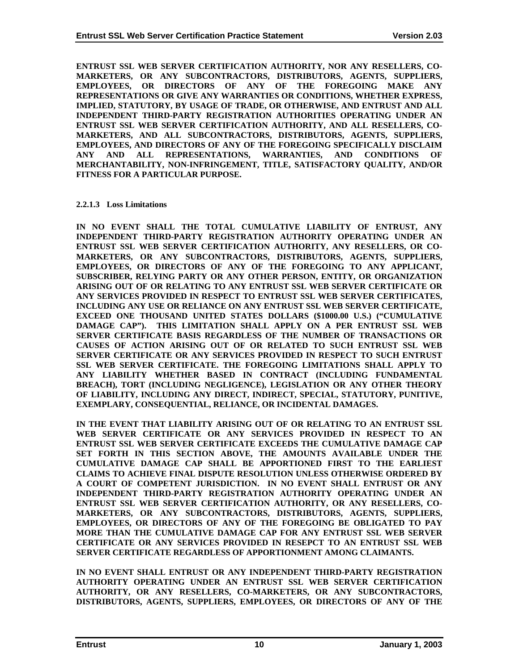<span id="page-14-0"></span>**ENTRUST SSL WEB SERVER CERTIFICATION AUTHORITY, NOR ANY RESELLERS, CO-MARKETERS, OR ANY SUBCONTRACTORS, DISTRIBUTORS, AGENTS, SUPPLIERS, EMPLOYEES, OR DIRECTORS OF ANY OF THE FOREGOING MAKE ANY REPRESENTATIONS OR GIVE ANY WARRANTIES OR CONDITIONS, WHETHER EXPRESS, IMPLIED, STATUTORY, BY USAGE OF TRADE, OR OTHERWISE, AND ENTRUST AND ALL INDEPENDENT THIRD-PARTY REGISTRATION AUTHORITIES OPERATING UNDER AN ENTRUST SSL WEB SERVER CERTIFICATION AUTHORITY, AND ALL RESELLERS, CO-MARKETERS, AND ALL SUBCONTRACTORS, DISTRIBUTORS, AGENTS, SUPPLIERS, EMPLOYEES, AND DIRECTORS OF ANY OF THE FOREGOING SPECIFICALLY DISCLAIM ANY AND ALL REPRESENTATIONS, WARRANTIES, AND CONDITIONS OF MERCHANTABILITY, NON-INFRINGEMENT, TITLE, SATISFACTORY QUALITY, AND/OR FITNESS FOR A PARTICULAR PURPOSE.** 

#### **2.2.1.3 Loss Limitations**

**IN NO EVENT SHALL THE TOTAL CUMULATIVE LIABILITY OF ENTRUST, ANY INDEPENDENT THIRD-PARTY REGISTRATION AUTHORITY OPERATING UNDER AN ENTRUST SSL WEB SERVER CERTIFICATION AUTHORITY, ANY RESELLERS, OR CO-MARKETERS, OR ANY SUBCONTRACTORS, DISTRIBUTORS, AGENTS, SUPPLIERS, EMPLOYEES, OR DIRECTORS OF ANY OF THE FOREGOING TO ANY APPLICANT, SUBSCRIBER, RELYING PARTY OR ANY OTHER PERSON, ENTITY, OR ORGANIZATION ARISING OUT OF OR RELATING TO ANY ENTRUST SSL WEB SERVER CERTIFICATE OR ANY SERVICES PROVIDED IN RESPECT TO ENTRUST SSL WEB SERVER CERTIFICATES, INCLUDING ANY USE OR RELIANCE ON ANY ENTRUST SSL WEB SERVER CERTIFICATE, EXCEED ONE THOUSAND UNITED STATES DOLLARS (\$1000.00 U.S.) ("CUMULATIVE DAMAGE CAP"). THIS LIMITATION SHALL APPLY ON A PER ENTRUST SSL WEB SERVER CERTIFICATE BASIS REGARDLESS OF THE NUMBER OF TRANSACTIONS OR CAUSES OF ACTION ARISING OUT OF OR RELATED TO SUCH ENTRUST SSL WEB SERVER CERTIFICATE OR ANY SERVICES PROVIDED IN RESPECT TO SUCH ENTRUST SSL WEB SERVER CERTIFICATE. THE FOREGOING LIMITATIONS SHALL APPLY TO ANY LIABILITY WHETHER BASED IN CONTRACT (INCLUDING FUNDAMENTAL BREACH), TORT (INCLUDING NEGLIGENCE), LEGISLATION OR ANY OTHER THEORY OF LIABILITY, INCLUDING ANY DIRECT, INDIRECT, SPECIAL, STATUTORY, PUNITIVE, EXEMPLARY, CONSEQUENTIAL, RELIANCE, OR INCIDENTAL DAMAGES.** 

**IN THE EVENT THAT LIABILITY ARISING OUT OF OR RELATING TO AN ENTRUST SSL WEB SERVER CERTIFICATE OR ANY SERVICES PROVIDED IN RESPECT TO AN ENTRUST SSL WEB SERVER CERTIFICATE EXCEEDS THE CUMULATIVE DAMAGE CAP SET FORTH IN THIS SECTION ABOVE, THE AMOUNTS AVAILABLE UNDER THE CUMULATIVE DAMAGE CAP SHALL BE APPORTIONED FIRST TO THE EARLIEST CLAIMS TO ACHIEVE FINAL DISPUTE RESOLUTION UNLESS OTHERWISE ORDERED BY A COURT OF COMPETENT JURISDICTION. IN NO EVENT SHALL ENTRUST OR ANY INDEPENDENT THIRD-PARTY REGISTRATION AUTHORITY OPERATING UNDER AN ENTRUST SSL WEB SERVER CERTIFICATION AUTHORITY, OR ANY RESELLERS, CO-MARKETERS, OR ANY SUBCONTRACTORS, DISTRIBUTORS, AGENTS, SUPPLIERS, EMPLOYEES, OR DIRECTORS OF ANY OF THE FOREGOING BE OBLIGATED TO PAY MORE THAN THE CUMULATIVE DAMAGE CAP FOR ANY ENTRUST SSL WEB SERVER CERTIFICATE OR ANY SERVICES PROVIDED IN RESEPCT TO AN ENTRUST SSL WEB SERVER CERTIFICATE REGARDLESS OF APPORTIONMENT AMONG CLAIMANTS.** 

**IN NO EVENT SHALL ENTRUST OR ANY INDEPENDENT THIRD-PARTY REGISTRATION AUTHORITY OPERATING UNDER AN ENTRUST SSL WEB SERVER CERTIFICATION AUTHORITY, OR ANY RESELLERS, CO-MARKETERS, OR ANY SUBCONTRACTORS, DISTRIBUTORS, AGENTS, SUPPLIERS, EMPLOYEES, OR DIRECTORS OF ANY OF THE**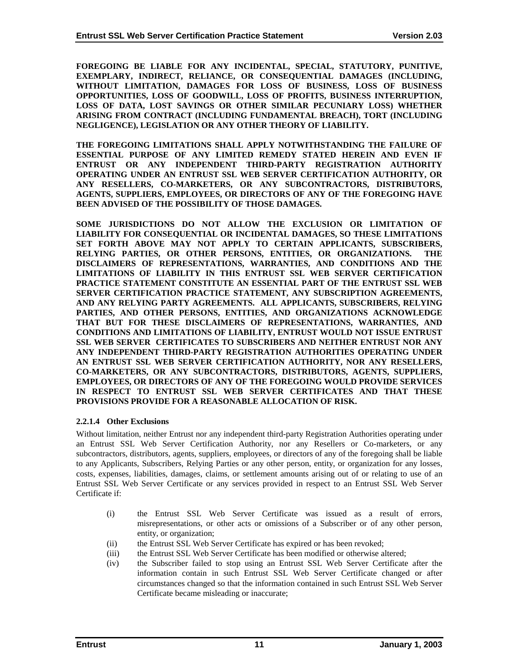<span id="page-15-0"></span>**FOREGOING BE LIABLE FOR ANY INCIDENTAL, SPECIAL, STATUTORY, PUNITIVE, EXEMPLARY, INDIRECT, RELIANCE, OR CONSEQUENTIAL DAMAGES (INCLUDING, WITHOUT LIMITATION, DAMAGES FOR LOSS OF BUSINESS, LOSS OF BUSINESS OPPORTUNITIES, LOSS OF GOODWILL, LOSS OF PROFITS, BUSINESS INTERRUPTION, LOSS OF DATA, LOST SAVINGS OR OTHER SIMILAR PECUNIARY LOSS) WHETHER ARISING FROM CONTRACT (INCLUDING FUNDAMENTAL BREACH), TORT (INCLUDING NEGLIGENCE), LEGISLATION OR ANY OTHER THEORY OF LIABILITY.** 

**THE FOREGOING LIMITATIONS SHALL APPLY NOTWITHSTANDING THE FAILURE OF ESSENTIAL PURPOSE OF ANY LIMITED REMEDY STATED HEREIN AND EVEN IF ENTRUST OR ANY INDEPENDENT THIRD-PARTY REGISTRATION AUTHORITY OPERATING UNDER AN ENTRUST SSL WEB SERVER CERTIFICATION AUTHORITY, OR ANY RESELLERS, CO-MARKETERS, OR ANY SUBCONTRACTORS, DISTRIBUTORS, AGENTS, SUPPLIERS, EMPLOYEES, OR DIRECTORS OF ANY OF THE FOREGOING HAVE BEEN ADVISED OF THE POSSIBILITY OF THOSE DAMAGES.** 

**SOME JURISDICTIONS DO NOT ALLOW THE EXCLUSION OR LIMITATION OF LIABILITY FOR CONSEQUENTIAL OR INCIDENTAL DAMAGES, SO THESE LIMITATIONS SET FORTH ABOVE MAY NOT APPLY TO CERTAIN APPLICANTS, SUBSCRIBERS, RELYING PARTIES, OR OTHER PERSONS, ENTITIES, OR ORGANIZATIONS. THE DISCLAIMERS OF REPRESENTATIONS, WARRANTIES, AND CONDITIONS AND THE LIMITATIONS OF LIABILITY IN THIS ENTRUST SSL WEB SERVER CERTIFICATION PRACTICE STATEMENT CONSTITUTE AN ESSENTIAL PART OF THE ENTRUST SSL WEB SERVER CERTIFICATION PRACTICE STATEMENT, ANY SUBSCRIPTION AGREEMENTS, AND ANY RELYING PARTY AGREEMENTS. ALL APPLICANTS, SUBSCRIBERS, RELYING PARTIES, AND OTHER PERSONS, ENTITIES, AND ORGANIZATIONS ACKNOWLEDGE THAT BUT FOR THESE DISCLAIMERS OF REPRESENTATIONS, WARRANTIES, AND CONDITIONS AND LIMITATIONS OF LIABILITY, ENTRUST WOULD NOT ISSUE ENTRUST SSL WEB SERVER CERTIFICATES TO SUBSCRIBERS AND NEITHER ENTRUST NOR ANY ANY INDEPENDENT THIRD-PARTY REGISTRATION AUTHORITIES OPERATING UNDER AN ENTRUST SSL WEB SERVER CERTIFICATION AUTHORITY, NOR ANY RESELLERS, CO-MARKETERS, OR ANY SUBCONTRACTORS, DISTRIBUTORS, AGENTS, SUPPLIERS, EMPLOYEES, OR DIRECTORS OF ANY OF THE FOREGOING WOULD PROVIDE SERVICES IN RESPECT TO ENTRUST SSL WEB SERVER CERTIFICATES AND THAT THESE PROVISIONS PROVIDE FOR A REASONABLE ALLOCATION OF RISK.** 

# **2.2.1.4 Other Exclusions**

Without limitation, neither Entrust nor any independent third-party Registration Authorities operating under an Entrust SSL Web Server Certification Authority, nor any Resellers or Co-marketers, or any subcontractors, distributors, agents, suppliers, employees, or directors of any of the foregoing shall be liable to any Applicants, Subscribers, Relying Parties or any other person, entity, or organization for any losses, costs, expenses, liabilities, damages, claims, or settlement amounts arising out of or relating to use of an Entrust SSL Web Server Certificate or any services provided in respect to an Entrust SSL Web Server Certificate if:

- (i) the Entrust SSL Web Server Certificate was issued as a result of errors, misrepresentations, or other acts or omissions of a Subscriber or of any other person, entity, or organization;
- (ii) the Entrust SSL Web Server Certificate has expired or has been revoked;
- (iii) the Entrust SSL Web Server Certificate has been modified or otherwise altered;
- (iv) the Subscriber failed to stop using an Entrust SSL Web Server Certificate after the information contain in such Entrust SSL Web Server Certificate changed or after circumstances changed so that the information contained in such Entrust SSL Web Server Certificate became misleading or inaccurate;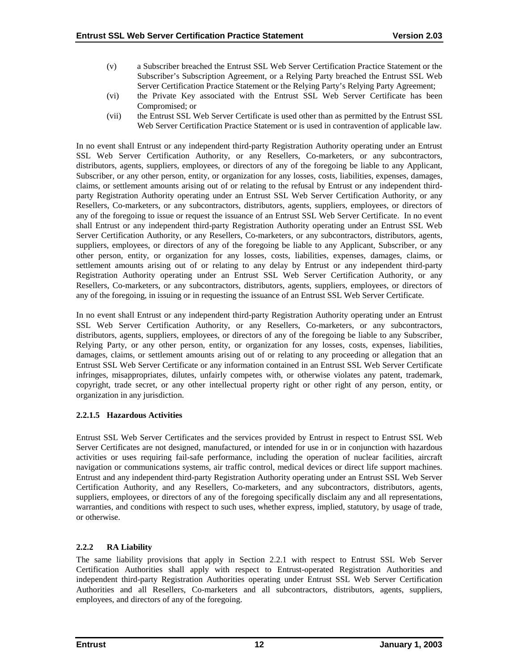- <span id="page-16-0"></span>(v) a Subscriber breached the Entrust SSL Web Server Certification Practice Statement or the Subscriber's Subscription Agreement, or a Relying Party breached the Entrust SSL Web Server Certification Practice Statement or the Relying Party's Relying Party Agreement;
- (vi) the Private Key associated with the Entrust SSL Web Server Certificate has been Compromised; or
- (vii) the Entrust SSL Web Server Certificate is used other than as permitted by the Entrust SSL Web Server Certification Practice Statement or is used in contravention of applicable law.

In no event shall Entrust or any independent third-party Registration Authority operating under an Entrust SSL Web Server Certification Authority, or any Resellers, Co-marketers, or any subcontractors, distributors, agents, suppliers, employees, or directors of any of the foregoing be liable to any Applicant, Subscriber, or any other person, entity, or organization for any losses, costs, liabilities, expenses, damages, claims, or settlement amounts arising out of or relating to the refusal by Entrust or any independent thirdparty Registration Authority operating under an Entrust SSL Web Server Certification Authority, or any Resellers, Co-marketers, or any subcontractors, distributors, agents, suppliers, employees, or directors of any of the foregoing to issue or request the issuance of an Entrust SSL Web Server Certificate. In no event shall Entrust or any independent third-party Registration Authority operating under an Entrust SSL Web Server Certification Authority, or any Resellers, Co-marketers, or any subcontractors, distributors, agents, suppliers, employees, or directors of any of the foregoing be liable to any Applicant, Subscriber, or any other person, entity, or organization for any losses, costs, liabilities, expenses, damages, claims, or settlement amounts arising out of or relating to any delay by Entrust or any independent third-party Registration Authority operating under an Entrust SSL Web Server Certification Authority, or any Resellers, Co-marketers, or any subcontractors, distributors, agents, suppliers, employees, or directors of any of the foregoing, in issuing or in requesting the issuance of an Entrust SSL Web Server Certificate.

In no event shall Entrust or any independent third-party Registration Authority operating under an Entrust SSL Web Server Certification Authority, or any Resellers, Co-marketers, or any subcontractors, distributors, agents, suppliers, employees, or directors of any of the foregoing be liable to any Subscriber, Relying Party, or any other person, entity, or organization for any losses, costs, expenses, liabilities, damages, claims, or settlement amounts arising out of or relating to any proceeding or allegation that an Entrust SSL Web Server Certificate or any information contained in an Entrust SSL Web Server Certificate infringes, misappropriates, dilutes, unfairly competes with, or otherwise violates any patent, trademark, copyright, trade secret, or any other intellectual property right or other right of any person, entity, or organization in any jurisdiction.

# **2.2.1.5 Hazardous Activities**

Entrust SSL Web Server Certificates and the services provided by Entrust in respect to Entrust SSL Web Server Certificates are not designed, manufactured, or intended for use in or in conjunction with hazardous activities or uses requiring fail-safe performance, including the operation of nuclear facilities, aircraft navigation or communications systems, air traffic control, medical devices or direct life support machines. Entrust and any independent third-party Registration Authority operating under an Entrust SSL Web Server Certification Authority, and any Resellers, Co-marketers, and any subcontractors, distributors, agents, suppliers, employees, or directors of any of the foregoing specifically disclaim any and all representations, warranties, and conditions with respect to such uses, whether express, implied, statutory, by usage of trade, or otherwise.

# **2.2.2 RA Liability**

The same liability provisions that apply in Section 2.2.1 with respect to Entrust SSL Web Server Certification Authorities shall apply with respect to Entrust-operated Registration Authorities and independent third-party Registration Authorities operating under Entrust SSL Web Server Certification Authorities and all Resellers, Co-marketers and all subcontractors, distributors, agents, suppliers, employees, and directors of any of the foregoing.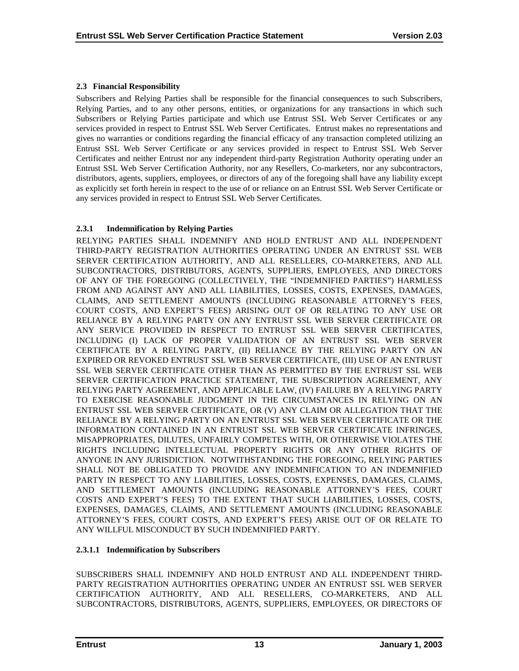# <span id="page-17-0"></span>**2.3 Financial Responsibility**

Subscribers and Relying Parties shall be responsible for the financial consequences to such Subscribers, Relying Parties, and to any other persons, entities, or organizations for any transactions in which such Subscribers or Relying Parties participate and which use Entrust SSL Web Server Certificates or any services provided in respect to Entrust SSL Web Server Certificates. Entrust makes no representations and gives no warranties or conditions regarding the financial efficacy of any transaction completed utilizing an Entrust SSL Web Server Certificate or any services provided in respect to Entrust SSL Web Server Certificates and neither Entrust nor any independent third-party Registration Authority operating under an Entrust SSL Web Server Certification Authority, nor any Resellers, Co-marketers, nor any subcontractors, distributors, agents, suppliers, employees, or directors of any of the foregoing shall have any liability except as explicitly set forth herein in respect to the use of or reliance on an Entrust SSL Web Server Certificate or any services provided in respect to Entrust SSL Web Server Certificates.

# **2.3.1 Indemnification by Relying Parties**

RELYING PARTIES SHALL INDEMNIFY AND HOLD ENTRUST AND ALL INDEPENDENT THIRD-PARTY REGISTRATION AUTHORITIES OPERATING UNDER AN ENTRUST SSL WEB SERVER CERTIFICATION AUTHORITY, AND ALL RESELLERS, CO-MARKETERS, AND ALL SUBCONTRACTORS, DISTRIBUTORS, AGENTS, SUPPLIERS, EMPLOYEES, AND DIRECTORS OF ANY OF THE FOREGOING (COLLECTIVELY, THE "INDEMNIFIED PARTIES") HARMLESS FROM AND AGAINST ANY AND ALL LIABILITIES, LOSSES, COSTS, EXPENSES, DAMAGES, CLAIMS, AND SETTLEMENT AMOUNTS (INCLUDING REASONABLE ATTORNEY'S FEES, COURT COSTS, AND EXPERT'S FEES) ARISING OUT OF OR RELATING TO ANY USE OR RELIANCE BY A RELYING PARTY ON ANY ENTRUST SSL WEB SERVER CERTIFICATE OR ANY SERVICE PROVIDED IN RESPECT TO ENTRUST SSL WEB SERVER CERTIFICATES, INCLUDING (I) LACK OF PROPER VALIDATION OF AN ENTRUST SSL WEB SERVER CERTIFICATE BY A RELYING PARTY, (II) RELIANCE BY THE RELYING PARTY ON AN EXPIRED OR REVOKED ENTRUST SSL WEB SERVER CERTIFICATE, (III) USE OF AN ENTRUST SSL WEB SERVER CERTIFICATE OTHER THAN AS PERMITTED BY THE ENTRUST SSL WEB SERVER CERTIFICATION PRACTICE STATEMENT, THE SUBSCRIPTION AGREEMENT, ANY RELYING PARTY AGREEMENT, AND APPLICABLE LAW, (IV) FAILURE BY A RELYING PARTY TO EXERCISE REASONABLE JUDGMENT IN THE CIRCUMSTANCES IN RELYING ON AN ENTRUST SSL WEB SERVER CERTIFICATE, OR (V) ANY CLAIM OR ALLEGATION THAT THE RELIANCE BY A RELYING PARTY ON AN ENTRUST SSL WEB SERVER CERTIFICATE OR THE INFORMATION CONTAINED IN AN ENTRUST SSL WEB SERVER CERTIFICATE INFRINGES, MISAPPROPRIATES, DILUTES, UNFAIRLY COMPETES WITH, OR OTHERWISE VIOLATES THE RIGHTS INCLUDING INTELLECTUAL PROPERTY RIGHTS OR ANY OTHER RIGHTS OF ANYONE IN ANY JURISDICTION. NOTWITHSTANDING THE FOREGOING, RELYING PARTIES SHALL NOT BE OBLIGATED TO PROVIDE ANY INDEMNIFICATION TO AN INDEMNIFIED PARTY IN RESPECT TO ANY LIABILITIES, LOSSES, COSTS, EXPENSES, DAMAGES, CLAIMS, AND SETTLEMENT AMOUNTS (INCLUDING REASONABLE ATTORNEY'S FEES, COURT COSTS AND EXPERT'S FEES) TO THE EXTENT THAT SUCH LIABILITIES, LOSSES, COSTS, EXPENSES, DAMAGES, CLAIMS, AND SETTLEMENT AMOUNTS (INCLUDING REASONABLE ATTORNEY'S FEES, COURT COSTS, AND EXPERT'S FEES) ARISE OUT OF OR RELATE TO ANY WILLFUL MISCONDUCT BY SUCH INDEMNIFIED PARTY.

# **2.3.1.1 Indemnification by Subscribers**

SUBSCRIBERS SHALL INDEMNIFY AND HOLD ENTRUST AND ALL INDEPENDENT THIRD-PARTY REGISTRATION AUTHORITIES OPERATING UNDER AN ENTRUST SSL WEB SERVER CERTIFICATION AUTHORITY, AND ALL RESELLERS, CO-MARKETERS, AND ALL SUBCONTRACTORS, DISTRIBUTORS, AGENTS, SUPPLIERS, EMPLOYEES, OR DIRECTORS OF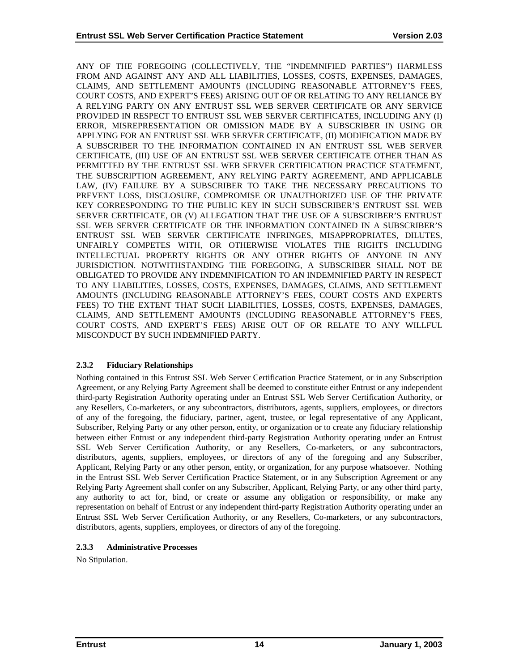<span id="page-18-0"></span>ANY OF THE FOREGOING (COLLECTIVELY, THE "INDEMNIFIED PARTIES") HARMLESS FROM AND AGAINST ANY AND ALL LIABILITIES, LOSSES, COSTS, EXPENSES, DAMAGES, CLAIMS, AND SETTLEMENT AMOUNTS (INCLUDING REASONABLE ATTORNEY'S FEES, COURT COSTS, AND EXPERT'S FEES) ARISING OUT OF OR RELATING TO ANY RELIANCE BY A RELYING PARTY ON ANY ENTRUST SSL WEB SERVER CERTIFICATE OR ANY SERVICE PROVIDED IN RESPECT TO ENTRUST SSL WEB SERVER CERTIFICATES, INCLUDING ANY (I) ERROR, MISREPRESENTATION OR OMISSION MADE BY A SUBSCRIBER IN USING OR APPLYING FOR AN ENTRUST SSL WEB SERVER CERTIFICATE, (II) MODIFICATION MADE BY A SUBSCRIBER TO THE INFORMATION CONTAINED IN AN ENTRUST SSL WEB SERVER CERTIFICATE, (III) USE OF AN ENTRUST SSL WEB SERVER CERTIFICATE OTHER THAN AS PERMITTED BY THE ENTRUST SSL WEB SERVER CERTIFICATION PRACTICE STATEMENT, THE SUBSCRIPTION AGREEMENT, ANY RELYING PARTY AGREEMENT, AND APPLICABLE LAW, (IV) FAILURE BY A SUBSCRIBER TO TAKE THE NECESSARY PRECAUTIONS TO PREVENT LOSS, DISCLOSURE, COMPROMISE OR UNAUTHORIZED USE OF THE PRIVATE KEY CORRESPONDING TO THE PUBLIC KEY IN SUCH SUBSCRIBER'S ENTRUST SSL WEB SERVER CERTIFICATE, OR (V) ALLEGATION THAT THE USE OF A SUBSCRIBER'S ENTRUST SSL WEB SERVER CERTIFICATE OR THE INFORMATION CONTAINED IN A SUBSCRIBER'S ENTRUST SSL WEB SERVER CERTIFICATE INFRINGES, MISAPPROPRIATES, DILUTES, UNFAIRLY COMPETES WITH, OR OTHERWISE VIOLATES THE RIGHTS INCLUDING INTELLECTUAL PROPERTY RIGHTS OR ANY OTHER RIGHTS OF ANYONE IN ANY JURISDICTION. NOTWITHSTANDING THE FOREGOING, A SUBSCRIBER SHALL NOT BE OBLIGATED TO PROVIDE ANY INDEMNIFICATION TO AN INDEMNIFIED PARTY IN RESPECT TO ANY LIABILITIES, LOSSES, COSTS, EXPENSES, DAMAGES, CLAIMS, AND SETTLEMENT AMOUNTS (INCLUDING REASONABLE ATTORNEY'S FEES, COURT COSTS AND EXPERTS FEES) TO THE EXTENT THAT SUCH LIABILITIES, LOSSES, COSTS, EXPENSES, DAMAGES, CLAIMS, AND SETTLEMENT AMOUNTS (INCLUDING REASONABLE ATTORNEY'S FEES, COURT COSTS, AND EXPERT'S FEES) ARISE OUT OF OR RELATE TO ANY WILLFUL MISCONDUCT BY SUCH INDEMNIFIED PARTY.

# **2.3.2 Fiduciary Relationships**

Nothing contained in this Entrust SSL Web Server Certification Practice Statement, or in any Subscription Agreement, or any Relying Party Agreement shall be deemed to constitute either Entrust or any independent third-party Registration Authority operating under an Entrust SSL Web Server Certification Authority, or any Resellers, Co-marketers, or any subcontractors, distributors, agents, suppliers, employees, or directors of any of the foregoing, the fiduciary, partner, agent, trustee, or legal representative of any Applicant, Subscriber, Relying Party or any other person, entity, or organization or to create any fiduciary relationship between either Entrust or any independent third-party Registration Authority operating under an Entrust SSL Web Server Certification Authority, or any Resellers, Co-marketers, or any subcontractors, distributors, agents, suppliers, employees, or directors of any of the foregoing and any Subscriber, Applicant, Relying Party or any other person, entity, or organization, for any purpose whatsoever. Nothing in the Entrust SSL Web Server Certification Practice Statement, or in any Subscription Agreement or any Relying Party Agreement shall confer on any Subscriber, Applicant, Relying Party, or any other third party, any authority to act for, bind, or create or assume any obligation or responsibility, or make any representation on behalf of Entrust or any independent third-party Registration Authority operating under an Entrust SSL Web Server Certification Authority, or any Resellers, Co-marketers, or any subcontractors, distributors, agents, suppliers, employees, or directors of any of the foregoing.

# **2.3.3 Administrative Processes**

No Stipulation.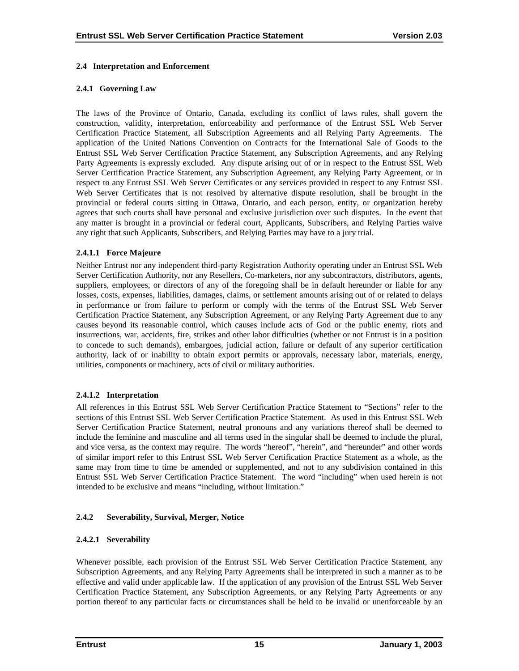## <span id="page-19-0"></span>**2.4 Interpretation and Enforcement**

## **2.4.1 Governing Law**

The laws of the Province of Ontario, Canada, excluding its conflict of laws rules, shall govern the construction, validity, interpretation, enforceability and performance of the Entrust SSL Web Server Certification Practice Statement, all Subscription Agreements and all Relying Party Agreements. The application of the United Nations Convention on Contracts for the International Sale of Goods to the Entrust SSL Web Server Certification Practice Statement, any Subscription Agreements, and any Relying Party Agreements is expressly excluded. Any dispute arising out of or in respect to the Entrust SSL Web Server Certification Practice Statement, any Subscription Agreement, any Relying Party Agreement, or in respect to any Entrust SSL Web Server Certificates or any services provided in respect to any Entrust SSL Web Server Certificates that is not resolved by alternative dispute resolution, shall be brought in the provincial or federal courts sitting in Ottawa, Ontario, and each person, entity, or organization hereby agrees that such courts shall have personal and exclusive jurisdiction over such disputes. In the event that any matter is brought in a provincial or federal court, Applicants, Subscribers, and Relying Parties waive any right that such Applicants, Subscribers, and Relying Parties may have to a jury trial.

## **2.4.1.1 Force Majeure**

Neither Entrust nor any independent third-party Registration Authority operating under an Entrust SSL Web Server Certification Authority, nor any Resellers, Co-marketers, nor any subcontractors, distributors, agents, suppliers, employees, or directors of any of the foregoing shall be in default hereunder or liable for any losses, costs, expenses, liabilities, damages, claims, or settlement amounts arising out of or related to delays in performance or from failure to perform or comply with the terms of the Entrust SSL Web Server Certification Practice Statement, any Subscription Agreement, or any Relying Party Agreement due to any causes beyond its reasonable control, which causes include acts of God or the public enemy, riots and insurrections, war, accidents, fire, strikes and other labor difficulties (whether or not Entrust is in a position to concede to such demands), embargoes, judicial action, failure or default of any superior certification authority, lack of or inability to obtain export permits or approvals, necessary labor, materials, energy, utilities, components or machinery, acts of civil or military authorities.

#### **2.4.1.2 Interpretation**

All references in this Entrust SSL Web Server Certification Practice Statement to "Sections" refer to the sections of this Entrust SSL Web Server Certification Practice Statement. As used in this Entrust SSL Web Server Certification Practice Statement, neutral pronouns and any variations thereof shall be deemed to include the feminine and masculine and all terms used in the singular shall be deemed to include the plural, and vice versa, as the context may require. The words "hereof", "herein", and "hereunder" and other words of similar import refer to this Entrust SSL Web Server Certification Practice Statement as a whole, as the same may from time to time be amended or supplemented, and not to any subdivision contained in this Entrust SSL Web Server Certification Practice Statement. The word "including" when used herein is not intended to be exclusive and means "including, without limitation."

# **2.4.2 Severability, Survival, Merger, Notice**

# **2.4.2.1 Severability**

Whenever possible, each provision of the Entrust SSL Web Server Certification Practice Statement, any Subscription Agreements, and any Relying Party Agreements shall be interpreted in such a manner as to be effective and valid under applicable law. If the application of any provision of the Entrust SSL Web Server Certification Practice Statement, any Subscription Agreements, or any Relying Party Agreements or any portion thereof to any particular facts or circumstances shall be held to be invalid or unenforceable by an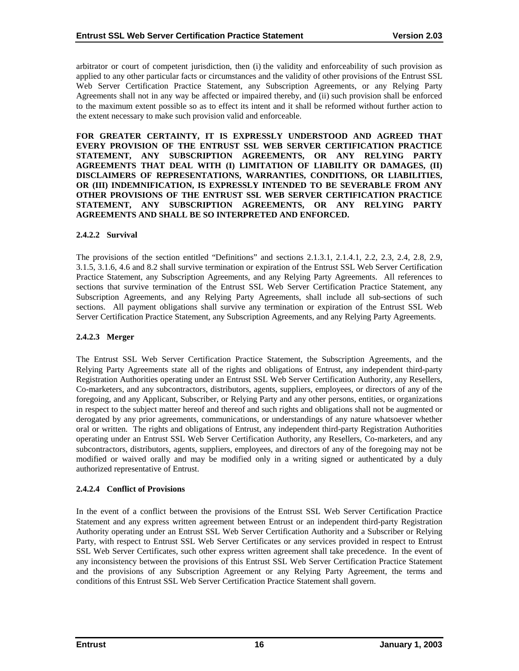arbitrator or court of competent jurisdiction, then (i) the validity and enforceability of such provision as applied to any other particular facts or circumstances and the validity of other provisions of the Entrust SSL Web Server Certification Practice Statement, any Subscription Agreements, or any Relying Party Agreements shall not in any way be affected or impaired thereby, and (ii) such provision shall be enforced to the maximum extent possible so as to effect its intent and it shall be reformed without further action to the extent necessary to make such provision valid and enforceable.

**FOR GREATER CERTAINTY, IT IS EXPRESSLY UNDERSTOOD AND AGREED THAT EVERY PROVISION OF THE ENTRUST SSL WEB SERVER CERTIFICATION PRACTICE STATEMENT, ANY SUBSCRIPTION AGREEMENTS, OR ANY RELYING PARTY AGREEMENTS THAT DEAL WITH (I) LIMITATION OF LIABILITY OR DAMAGES, (II) DISCLAIMERS OF REPRESENTATIONS, WARRANTIES, CONDITIONS, OR LIABILITIES, OR (III) INDEMNIFICATION, IS EXPRESSLY INTENDED TO BE SEVERABLE FROM ANY OTHER PROVISIONS OF THE ENTRUST SSL WEB SERVER CERTIFICATION PRACTICE STATEMENT, ANY SUBSCRIPTION AGREEMENTS, OR ANY RELYING PARTY AGREEMENTS AND SHALL BE SO INTERPRETED AND ENFORCED.** 

## **2.4.2.2 Survival**

The provisions of the section entitled "Definitions" and sections 2.1.3.1, 2.1.4.1, 2.2, 2.3, 2.4, 2.8, 2.9, 3.1.5, 3.1.6, 4.6 and 8.2 shall survive termination or expiration of the Entrust SSL Web Server Certification Practice Statement, any Subscription Agreements, and any Relying Party Agreements. All references to sections that survive termination of the Entrust SSL Web Server Certification Practice Statement, any Subscription Agreements, and any Relying Party Agreements, shall include all sub-sections of such sections. All payment obligations shall survive any termination or expiration of the Entrust SSL Web Server Certification Practice Statement, any Subscription Agreements, and any Relying Party Agreements.

#### **2.4.2.3 Merger**

The Entrust SSL Web Server Certification Practice Statement, the Subscription Agreements, and the Relying Party Agreements state all of the rights and obligations of Entrust, any independent third-party Registration Authorities operating under an Entrust SSL Web Server Certification Authority, any Resellers, Co-marketers, and any subcontractors, distributors, agents, suppliers, employees, or directors of any of the foregoing, and any Applicant, Subscriber, or Relying Party and any other persons, entities, or organizations in respect to the subject matter hereof and thereof and such rights and obligations shall not be augmented or derogated by any prior agreements, communications, or understandings of any nature whatsoever whether oral or written. The rights and obligations of Entrust, any independent third-party Registration Authorities operating under an Entrust SSL Web Server Certification Authority, any Resellers, Co-marketers, and any subcontractors, distributors, agents, suppliers, employees, and directors of any of the foregoing may not be modified or waived orally and may be modified only in a writing signed or authenticated by a duly authorized representative of Entrust.

# **2.4.2.4 Conflict of Provisions**

In the event of a conflict between the provisions of the Entrust SSL Web Server Certification Practice Statement and any express written agreement between Entrust or an independent third-party Registration Authority operating under an Entrust SSL Web Server Certification Authority and a Subscriber or Relying Party, with respect to Entrust SSL Web Server Certificates or any services provided in respect to Entrust SSL Web Server Certificates, such other express written agreement shall take precedence. In the event of any inconsistency between the provisions of this Entrust SSL Web Server Certification Practice Statement and the provisions of any Subscription Agreement or any Relying Party Agreement, the terms and conditions of this Entrust SSL Web Server Certification Practice Statement shall govern.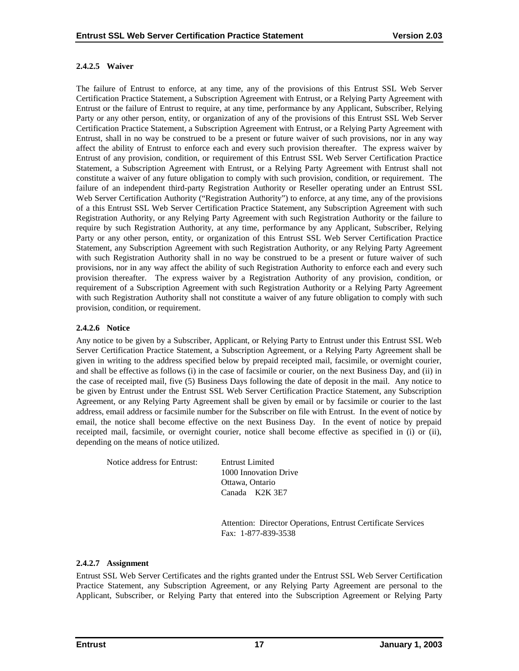# **2.4.2.5 Waiver**

The failure of Entrust to enforce, at any time, any of the provisions of this Entrust SSL Web Server Certification Practice Statement, a Subscription Agreement with Entrust, or a Relying Party Agreement with Entrust or the failure of Entrust to require, at any time, performance by any Applicant, Subscriber, Relying Party or any other person, entity, or organization of any of the provisions of this Entrust SSL Web Server Certification Practice Statement, a Subscription Agreement with Entrust, or a Relying Party Agreement with Entrust, shall in no way be construed to be a present or future waiver of such provisions, nor in any way affect the ability of Entrust to enforce each and every such provision thereafter. The express waiver by Entrust of any provision, condition, or requirement of this Entrust SSL Web Server Certification Practice Statement, a Subscription Agreement with Entrust, or a Relying Party Agreement with Entrust shall not constitute a waiver of any future obligation to comply with such provision, condition, or requirement. The failure of an independent third-party Registration Authority or Reseller operating under an Entrust SSL Web Server Certification Authority ("Registration Authority") to enforce, at any time, any of the provisions of a this Entrust SSL Web Server Certification Practice Statement, any Subscription Agreement with such Registration Authority, or any Relying Party Agreement with such Registration Authority or the failure to require by such Registration Authority, at any time, performance by any Applicant, Subscriber, Relying Party or any other person, entity, or organization of this Entrust SSL Web Server Certification Practice Statement, any Subscription Agreement with such Registration Authority, or any Relying Party Agreement with such Registration Authority shall in no way be construed to be a present or future waiver of such provisions, nor in any way affect the ability of such Registration Authority to enforce each and every such provision thereafter. The express waiver by a Registration Authority of any provision, condition, or requirement of a Subscription Agreement with such Registration Authority or a Relying Party Agreement with such Registration Authority shall not constitute a waiver of any future obligation to comply with such provision, condition, or requirement.

# **2.4.2.6 Notice**

Any notice to be given by a Subscriber, Applicant, or Relying Party to Entrust under this Entrust SSL Web Server Certification Practice Statement, a Subscription Agreement, or a Relying Party Agreement shall be given in writing to the address specified below by prepaid receipted mail, facsimile, or overnight courier, and shall be effective as follows (i) in the case of facsimile or courier, on the next Business Day, and (ii) in the case of receipted mail, five (5) Business Days following the date of deposit in the mail. Any notice to be given by Entrust under the Entrust SSL Web Server Certification Practice Statement, any Subscription Agreement, or any Relying Party Agreement shall be given by email or by facsimile or courier to the last address, email address or facsimile number for the Subscriber on file with Entrust. In the event of notice by email, the notice shall become effective on the next Business Day. In the event of notice by prepaid receipted mail, facsimile, or overnight courier, notice shall become effective as specified in (i) or (ii), depending on the means of notice utilized.

Notice address for Entrust: Entrust Limited

1000 Innovation Drive Ottawa, Ontario Canada K2K 3E7

 Attention: Director Operations, Entrust Certificate Services Fax: 1-877-839-3538

# **2.4.2.7 Assignment**

Entrust SSL Web Server Certificates and the rights granted under the Entrust SSL Web Server Certification Practice Statement, any Subscription Agreement, or any Relying Party Agreement are personal to the Applicant, Subscriber, or Relying Party that entered into the Subscription Agreement or Relying Party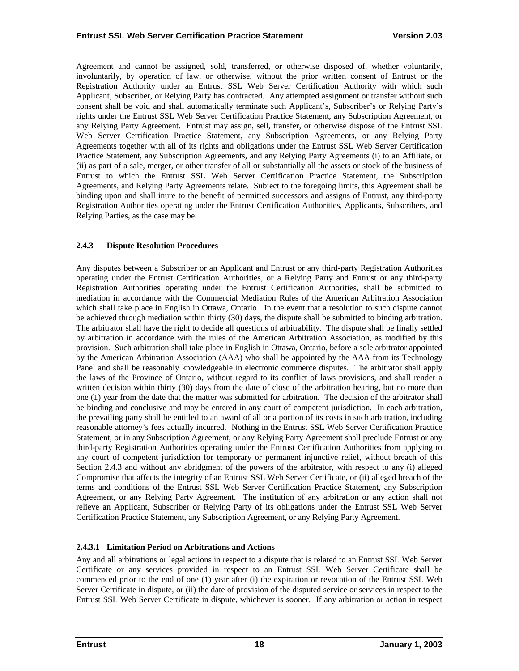<span id="page-22-0"></span>Agreement and cannot be assigned, sold, transferred, or otherwise disposed of, whether voluntarily, involuntarily, by operation of law, or otherwise, without the prior written consent of Entrust or the Registration Authority under an Entrust SSL Web Server Certification Authority with which such Applicant, Subscriber, or Relying Party has contracted. Any attempted assignment or transfer without such consent shall be void and shall automatically terminate such Applicant's, Subscriber's or Relying Party's rights under the Entrust SSL Web Server Certification Practice Statement, any Subscription Agreement, or any Relying Party Agreement. Entrust may assign, sell, transfer, or otherwise dispose of the Entrust SSL Web Server Certification Practice Statement, any Subscription Agreements, or any Relying Party Agreements together with all of its rights and obligations under the Entrust SSL Web Server Certification Practice Statement, any Subscription Agreements, and any Relying Party Agreements (i) to an Affiliate, or (ii) as part of a sale, merger, or other transfer of all or substantially all the assets or stock of the business of Entrust to which the Entrust SSL Web Server Certification Practice Statement, the Subscription Agreements, and Relying Party Agreements relate. Subject to the foregoing limits, this Agreement shall be binding upon and shall inure to the benefit of permitted successors and assigns of Entrust, any third-party Registration Authorities operating under the Entrust Certification Authorities, Applicants, Subscribers, and Relying Parties, as the case may be.

## **2.4.3 Dispute Resolution Procedures**

Any disputes between a Subscriber or an Applicant and Entrust or any third-party Registration Authorities operating under the Entrust Certification Authorities, or a Relying Party and Entrust or any third-party Registration Authorities operating under the Entrust Certification Authorities, shall be submitted to mediation in accordance with the Commercial Mediation Rules of the American Arbitration Association which shall take place in English in Ottawa, Ontario. In the event that a resolution to such dispute cannot be achieved through mediation within thirty (30) days, the dispute shall be submitted to binding arbitration. The arbitrator shall have the right to decide all questions of arbitrability. The dispute shall be finally settled by arbitration in accordance with the rules of the American Arbitration Association, as modified by this provision. Such arbitration shall take place in English in Ottawa, Ontario, before a sole arbitrator appointed by the American Arbitration Association (AAA) who shall be appointed by the AAA from its Technology Panel and shall be reasonably knowledgeable in electronic commerce disputes. The arbitrator shall apply the laws of the Province of Ontario, without regard to its conflict of laws provisions, and shall render a written decision within thirty (30) days from the date of close of the arbitration hearing, but no more than one (1) year from the date that the matter was submitted for arbitration. The decision of the arbitrator shall be binding and conclusive and may be entered in any court of competent jurisdiction. In each arbitration, the prevailing party shall be entitled to an award of all or a portion of its costs in such arbitration, including reasonable attorney's fees actually incurred. Nothing in the Entrust SSL Web Server Certification Practice Statement, or in any Subscription Agreement, or any Relying Party Agreement shall preclude Entrust or any third-party Registration Authorities operating under the Entrust Certification Authorities from applying to any court of competent jurisdiction for temporary or permanent injunctive relief, without breach of this Section 2.4.3 and without any abridgment of the powers of the arbitrator, with respect to any (i) alleged Compromise that affects the integrity of an Entrust SSL Web Server Certificate, or (ii) alleged breach of the terms and conditions of the Entrust SSL Web Server Certification Practice Statement, any Subscription Agreement, or any Relying Party Agreement. The institution of any arbitration or any action shall not relieve an Applicant, Subscriber or Relying Party of its obligations under the Entrust SSL Web Server Certification Practice Statement, any Subscription Agreement, or any Relying Party Agreement.

# **2.4.3.1 Limitation Period on Arbitrations and Actions**

Any and all arbitrations or legal actions in respect to a dispute that is related to an Entrust SSL Web Server Certificate or any services provided in respect to an Entrust SSL Web Server Certificate shall be commenced prior to the end of one (1) year after (i) the expiration or revocation of the Entrust SSL Web Server Certificate in dispute, or (ii) the date of provision of the disputed service or services in respect to the Entrust SSL Web Server Certificate in dispute, whichever is sooner. If any arbitration or action in respect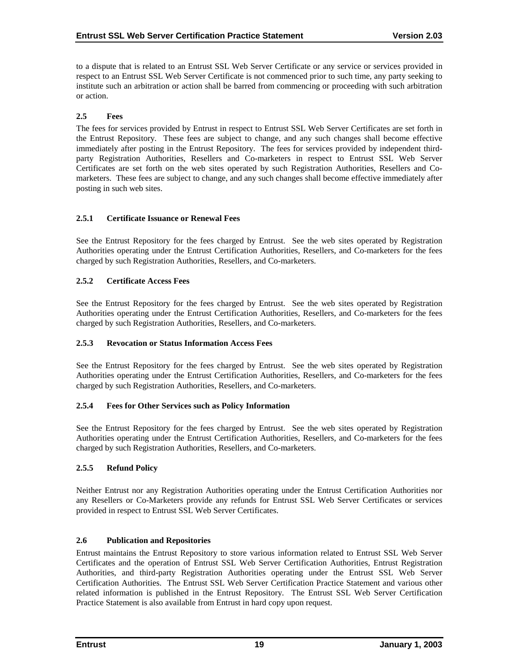<span id="page-23-0"></span>to a dispute that is related to an Entrust SSL Web Server Certificate or any service or services provided in respect to an Entrust SSL Web Server Certificate is not commenced prior to such time, any party seeking to institute such an arbitration or action shall be barred from commencing or proceeding with such arbitration or action.

# **2.5 Fees**

The fees for services provided by Entrust in respect to Entrust SSL Web Server Certificates are set forth in the Entrust Repository. These fees are subject to change, and any such changes shall become effective immediately after posting in the Entrust Repository. The fees for services provided by independent thirdparty Registration Authorities, Resellers and Co-marketers in respect to Entrust SSL Web Server Certificates are set forth on the web sites operated by such Registration Authorities, Resellers and Comarketers. These fees are subject to change, and any such changes shall become effective immediately after posting in such web sites.

# **2.5.1 Certificate Issuance or Renewal Fees**

See the Entrust Repository for the fees charged by Entrust. See the web sites operated by Registration Authorities operating under the Entrust Certification Authorities, Resellers, and Co-marketers for the fees charged by such Registration Authorities, Resellers, and Co-marketers.

## **2.5.2 Certificate Access Fees**

See the Entrust Repository for the fees charged by Entrust. See the web sites operated by Registration Authorities operating under the Entrust Certification Authorities, Resellers, and Co-marketers for the fees charged by such Registration Authorities, Resellers, and Co-marketers.

# **2.5.3 Revocation or Status Information Access Fees**

See the Entrust Repository for the fees charged by Entrust. See the web sites operated by Registration Authorities operating under the Entrust Certification Authorities, Resellers, and Co-marketers for the fees charged by such Registration Authorities, Resellers, and Co-marketers.

# **2.5.4 Fees for Other Services such as Policy Information**

See the Entrust Repository for the fees charged by Entrust. See the web sites operated by Registration Authorities operating under the Entrust Certification Authorities, Resellers, and Co-marketers for the fees charged by such Registration Authorities, Resellers, and Co-marketers.

# **2.5.5 Refund Policy**

Neither Entrust nor any Registration Authorities operating under the Entrust Certification Authorities nor any Resellers or Co-Marketers provide any refunds for Entrust SSL Web Server Certificates or services provided in respect to Entrust SSL Web Server Certificates.

# **2.6 Publication and Repositories**

Entrust maintains the Entrust Repository to store various information related to Entrust SSL Web Server Certificates and the operation of Entrust SSL Web Server Certification Authorities, Entrust Registration Authorities, and third-party Registration Authorities operating under the Entrust SSL Web Server Certification Authorities. The Entrust SSL Web Server Certification Practice Statement and various other related information is published in the Entrust Repository. The Entrust SSL Web Server Certification Practice Statement is also available from Entrust in hard copy upon request.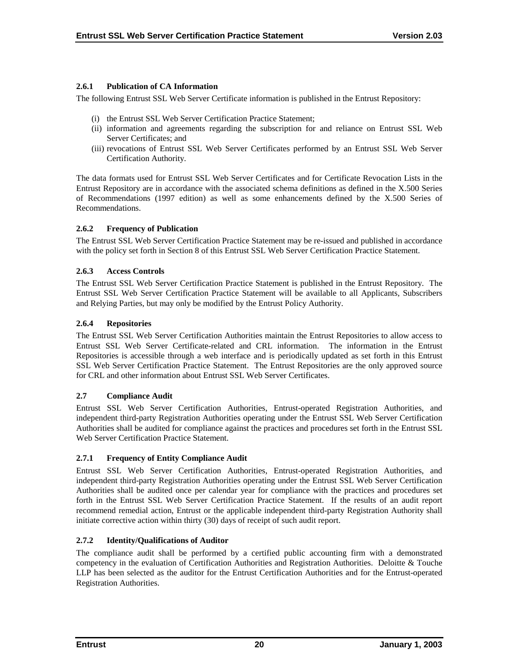# <span id="page-24-0"></span>**2.6.1 Publication of CA Information**

The following Entrust SSL Web Server Certificate information is published in the Entrust Repository:

- (i) the Entrust SSL Web Server Certification Practice Statement;
- (ii) information and agreements regarding the subscription for and reliance on Entrust SSL Web Server Certificates; and
- (iii) revocations of Entrust SSL Web Server Certificates performed by an Entrust SSL Web Server Certification Authority.

The data formats used for Entrust SSL Web Server Certificates and for Certificate Revocation Lists in the Entrust Repository are in accordance with the associated schema definitions as defined in the X.500 Series of Recommendations (1997 edition) as well as some enhancements defined by the X.500 Series of Recommendations.

# **2.6.2 Frequency of Publication**

The Entrust SSL Web Server Certification Practice Statement may be re-issued and published in accordance with the policy set forth in Section 8 of this Entrust SSL Web Server Certification Practice Statement.

# **2.6.3 Access Controls**

The Entrust SSL Web Server Certification Practice Statement is published in the Entrust Repository. The Entrust SSL Web Server Certification Practice Statement will be available to all Applicants, Subscribers and Relying Parties, but may only be modified by the Entrust Policy Authority.

# **2.6.4 Repositories**

The Entrust SSL Web Server Certification Authorities maintain the Entrust Repositories to allow access to Entrust SSL Web Server Certificate-related and CRL information. The information in the Entrust Repositories is accessible through a web interface and is periodically updated as set forth in this Entrust SSL Web Server Certification Practice Statement. The Entrust Repositories are the only approved source for CRL and other information about Entrust SSL Web Server Certificates.

# **2.7 Compliance Audit**

Entrust SSL Web Server Certification Authorities, Entrust-operated Registration Authorities, and independent third-party Registration Authorities operating under the Entrust SSL Web Server Certification Authorities shall be audited for compliance against the practices and procedures set forth in the Entrust SSL Web Server Certification Practice Statement.

# **2.7.1 Frequency of Entity Compliance Audit**

Entrust SSL Web Server Certification Authorities, Entrust-operated Registration Authorities, and independent third-party Registration Authorities operating under the Entrust SSL Web Server Certification Authorities shall be audited once per calendar year for compliance with the practices and procedures set forth in the Entrust SSL Web Server Certification Practice Statement. If the results of an audit report recommend remedial action, Entrust or the applicable independent third-party Registration Authority shall initiate corrective action within thirty (30) days of receipt of such audit report.

# **2.7.2 Identity/Qualifications of Auditor**

The compliance audit shall be performed by a certified public accounting firm with a demonstrated competency in the evaluation of Certification Authorities and Registration Authorities. Deloitte & Touche LLP has been selected as the auditor for the Entrust Certification Authorities and for the Entrust-operated Registration Authorities.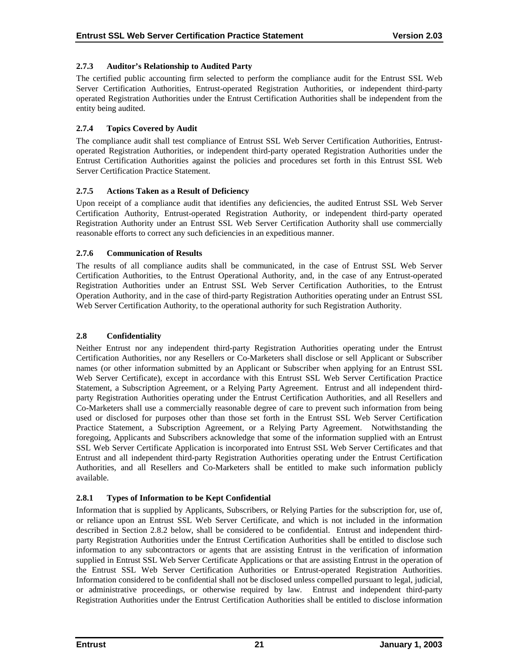# <span id="page-25-0"></span>**2.7.3 Auditor's Relationship to Audited Party**

The certified public accounting firm selected to perform the compliance audit for the Entrust SSL Web Server Certification Authorities, Entrust-operated Registration Authorities, or independent third-party operated Registration Authorities under the Entrust Certification Authorities shall be independent from the entity being audited.

# **2.7.4 Topics Covered by Audit**

The compliance audit shall test compliance of Entrust SSL Web Server Certification Authorities, Entrustoperated Registration Authorities, or independent third-party operated Registration Authorities under the Entrust Certification Authorities against the policies and procedures set forth in this Entrust SSL Web Server Certification Practice Statement.

# **2.7.5 Actions Taken as a Result of Deficiency**

Upon receipt of a compliance audit that identifies any deficiencies, the audited Entrust SSL Web Server Certification Authority, Entrust-operated Registration Authority, or independent third-party operated Registration Authority under an Entrust SSL Web Server Certification Authority shall use commercially reasonable efforts to correct any such deficiencies in an expeditious manner.

# **2.7.6 Communication of Results**

The results of all compliance audits shall be communicated, in the case of Entrust SSL Web Server Certification Authorities, to the Entrust Operational Authority, and, in the case of any Entrust-operated Registration Authorities under an Entrust SSL Web Server Certification Authorities, to the Entrust Operation Authority, and in the case of third-party Registration Authorities operating under an Entrust SSL Web Server Certification Authority, to the operational authority for such Registration Authority.

# **2.8 Confidentiality**

Neither Entrust nor any independent third-party Registration Authorities operating under the Entrust Certification Authorities, nor any Resellers or Co-Marketers shall disclose or sell Applicant or Subscriber names (or other information submitted by an Applicant or Subscriber when applying for an Entrust SSL Web Server Certificate), except in accordance with this Entrust SSL Web Server Certification Practice Statement, a Subscription Agreement, or a Relying Party Agreement. Entrust and all independent thirdparty Registration Authorities operating under the Entrust Certification Authorities, and all Resellers and Co-Marketers shall use a commercially reasonable degree of care to prevent such information from being used or disclosed for purposes other than those set forth in the Entrust SSL Web Server Certification Practice Statement, a Subscription Agreement, or a Relying Party Agreement. Notwithstanding the foregoing, Applicants and Subscribers acknowledge that some of the information supplied with an Entrust SSL Web Server Certificate Application is incorporated into Entrust SSL Web Server Certificates and that Entrust and all independent third-party Registration Authorities operating under the Entrust Certification Authorities, and all Resellers and Co-Marketers shall be entitled to make such information publicly available.

# **2.8.1 Types of Information to be Kept Confidential**

Information that is supplied by Applicants, Subscribers, or Relying Parties for the subscription for, use of, or reliance upon an Entrust SSL Web Server Certificate, and which is not included in the information described in Section 2.8.2 below, shall be considered to be confidential. Entrust and independent thirdparty Registration Authorities under the Entrust Certification Authorities shall be entitled to disclose such information to any subcontractors or agents that are assisting Entrust in the verification of information supplied in Entrust SSL Web Server Certificate Applications or that are assisting Entrust in the operation of the Entrust SSL Web Server Certification Authorities or Entrust-operated Registration Authorities. Information considered to be confidential shall not be disclosed unless compelled pursuant to legal, judicial, or administrative proceedings, or otherwise required by law. Entrust and independent third-party Registration Authorities under the Entrust Certification Authorities shall be entitled to disclose information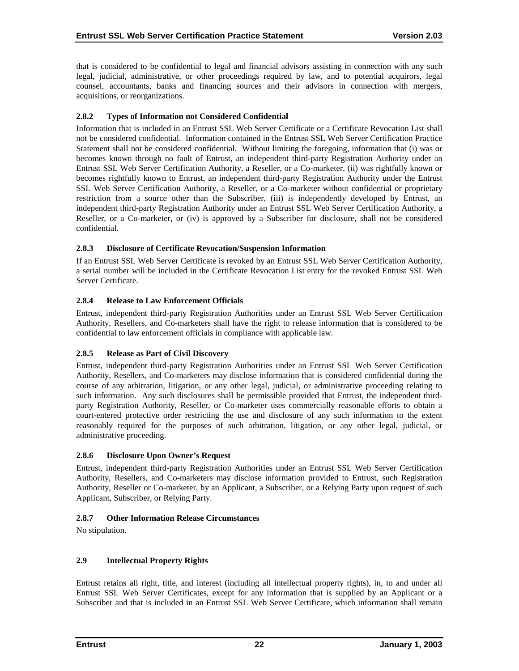<span id="page-26-0"></span>that is considered to be confidential to legal and financial advisors assisting in connection with any such legal, judicial, administrative, or other proceedings required by law, and to potential acquirors, legal counsel, accountants, banks and financing sources and their advisors in connection with mergers, acquisitions, or reorganizations.

# **2.8.2 Types of Information not Considered Confidential**

Information that is included in an Entrust SSL Web Server Certificate or a Certificate Revocation List shall not be considered confidential. Information contained in the Entrust SSL Web Server Certification Practice Statement shall not be considered confidential. Without limiting the foregoing, information that (i) was or becomes known through no fault of Entrust, an independent third-party Registration Authority under an Entrust SSL Web Server Certification Authority, a Reseller, or a Co-marketer, (ii) was rightfully known or becomes rightfully known to Entrust, an independent third-party Registration Authority under the Entrust SSL Web Server Certification Authority, a Reseller, or a Co-marketer without confidential or proprietary restriction from a source other than the Subscriber, (iii) is independently developed by Entrust, an independent third-party Registration Authority under an Entrust SSL Web Server Certification Authority, a Reseller, or a Co-marketer, or (iv) is approved by a Subscriber for disclosure, shall not be considered confidential.

## **2.8.3 Disclosure of Certificate Revocation/Suspension Information**

If an Entrust SSL Web Server Certificate is revoked by an Entrust SSL Web Server Certification Authority, a serial number will be included in the Certificate Revocation List entry for the revoked Entrust SSL Web Server Certificate.

# **2.8.4 Release to Law Enforcement Officials**

Entrust, independent third-party Registration Authorities under an Entrust SSL Web Server Certification Authority, Resellers, and Co-marketers shall have the right to release information that is considered to be confidential to law enforcement officials in compliance with applicable law.

# **2.8.5 Release as Part of Civil Discovery**

Entrust, independent third-party Registration Authorities under an Entrust SSL Web Server Certification Authority, Resellers, and Co-marketers may disclose information that is considered confidential during the course of any arbitration, litigation, or any other legal, judicial, or administrative proceeding relating to such information. Any such disclosures shall be permissible provided that Entrust, the independent thirdparty Registration Authority, Reseller, or Co-marketer uses commercially reasonable efforts to obtain a court-entered protective order restricting the use and disclosure of any such information to the extent reasonably required for the purposes of such arbitration, litigation, or any other legal, judicial, or administrative proceeding.

# **2.8.6 Disclosure Upon Owner's Request**

Entrust, independent third-party Registration Authorities under an Entrust SSL Web Server Certification Authority, Resellers, and Co-marketers may disclose information provided to Entrust, such Registration Authority, Reseller or Co-marketer, by an Applicant, a Subscriber, or a Relying Party upon request of such Applicant, Subscriber, or Relying Party.

# **2.8.7 Other Information Release Circumstances**

No stipulation.

# **2.9 Intellectual Property Rights**

Entrust retains all right, title, and interest (including all intellectual property rights), in, to and under all Entrust SSL Web Server Certificates, except for any information that is supplied by an Applicant or a Subscriber and that is included in an Entrust SSL Web Server Certificate, which information shall remain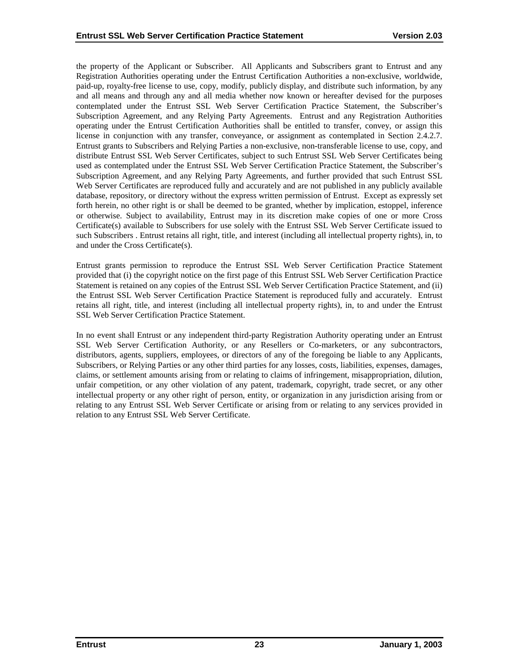the property of the Applicant or Subscriber. All Applicants and Subscribers grant to Entrust and any Registration Authorities operating under the Entrust Certification Authorities a non-exclusive, worldwide, paid-up, royalty-free license to use, copy, modify, publicly display, and distribute such information, by any and all means and through any and all media whether now known or hereafter devised for the purposes contemplated under the Entrust SSL Web Server Certification Practice Statement, the Subscriber's Subscription Agreement, and any Relying Party Agreements. Entrust and any Registration Authorities operating under the Entrust Certification Authorities shall be entitled to transfer, convey, or assign this license in conjunction with any transfer, conveyance, or assignment as contemplated in Section 2.4.2.7. Entrust grants to Subscribers and Relying Parties a non-exclusive, non-transferable license to use, copy, and distribute Entrust SSL Web Server Certificates, subject to such Entrust SSL Web Server Certificates being used as contemplated under the Entrust SSL Web Server Certification Practice Statement, the Subscriber's Subscription Agreement, and any Relying Party Agreements, and further provided that such Entrust SSL Web Server Certificates are reproduced fully and accurately and are not published in any publicly available database, repository, or directory without the express written permission of Entrust. Except as expressly set forth herein, no other right is or shall be deemed to be granted, whether by implication, estoppel, inference or otherwise. Subject to availability, Entrust may in its discretion make copies of one or more Cross Certificate(s) available to Subscribers for use solely with the Entrust SSL Web Server Certificate issued to such Subscribers . Entrust retains all right, title, and interest (including all intellectual property rights), in, to and under the Cross Certificate(s).

Entrust grants permission to reproduce the Entrust SSL Web Server Certification Practice Statement provided that (i) the copyright notice on the first page of this Entrust SSL Web Server Certification Practice Statement is retained on any copies of the Entrust SSL Web Server Certification Practice Statement, and (ii) the Entrust SSL Web Server Certification Practice Statement is reproduced fully and accurately. Entrust retains all right, title, and interest (including all intellectual property rights), in, to and under the Entrust SSL Web Server Certification Practice Statement.

In no event shall Entrust or any independent third-party Registration Authority operating under an Entrust SSL Web Server Certification Authority, or any Resellers or Co-marketers, or any subcontractors, distributors, agents, suppliers, employees, or directors of any of the foregoing be liable to any Applicants, Subscribers, or Relying Parties or any other third parties for any losses, costs, liabilities, expenses, damages, claims, or settlement amounts arising from or relating to claims of infringement, misappropriation, dilution, unfair competition, or any other violation of any patent, trademark, copyright, trade secret, or any other intellectual property or any other right of person, entity, or organization in any jurisdiction arising from or relating to any Entrust SSL Web Server Certificate or arising from or relating to any services provided in relation to any Entrust SSL Web Server Certificate.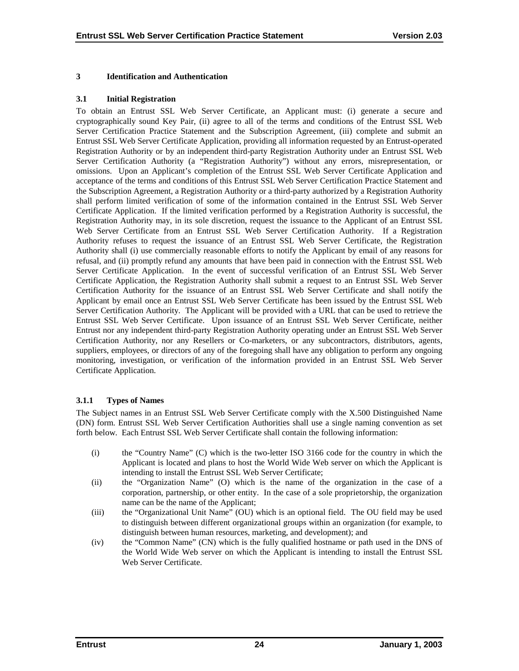#### <span id="page-28-0"></span>**3 Identification and Authentication**

#### **3.1 Initial Registration**

To obtain an Entrust SSL Web Server Certificate, an Applicant must: (i) generate a secure and cryptographically sound Key Pair, (ii) agree to all of the terms and conditions of the Entrust SSL Web Server Certification Practice Statement and the Subscription Agreement, (iii) complete and submit an Entrust SSL Web Server Certificate Application, providing all information requested by an Entrust-operated Registration Authority or by an independent third-party Registration Authority under an Entrust SSL Web Server Certification Authority (a "Registration Authority") without any errors, misrepresentation, or omissions. Upon an Applicant's completion of the Entrust SSL Web Server Certificate Application and acceptance of the terms and conditions of this Entrust SSL Web Server Certification Practice Statement and the Subscription Agreement, a Registration Authority or a third-party authorized by a Registration Authority shall perform limited verification of some of the information contained in the Entrust SSL Web Server Certificate Application. If the limited verification performed by a Registration Authority is successful, the Registration Authority may, in its sole discretion, request the issuance to the Applicant of an Entrust SSL Web Server Certificate from an Entrust SSL Web Server Certification Authority. If a Registration Authority refuses to request the issuance of an Entrust SSL Web Server Certificate, the Registration Authority shall (i) use commercially reasonable efforts to notify the Applicant by email of any reasons for refusal, and (ii) promptly refund any amounts that have been paid in connection with the Entrust SSL Web Server Certificate Application. In the event of successful verification of an Entrust SSL Web Server Certificate Application, the Registration Authority shall submit a request to an Entrust SSL Web Server Certification Authority for the issuance of an Entrust SSL Web Server Certificate and shall notify the Applicant by email once an Entrust SSL Web Server Certificate has been issued by the Entrust SSL Web Server Certification Authority. The Applicant will be provided with a URL that can be used to retrieve the Entrust SSL Web Server Certificate. Upon issuance of an Entrust SSL Web Server Certificate, neither Entrust nor any independent third-party Registration Authority operating under an Entrust SSL Web Server Certification Authority, nor any Resellers or Co-marketers, or any subcontractors, distributors, agents, suppliers, employees, or directors of any of the foregoing shall have any obligation to perform any ongoing monitoring, investigation, or verification of the information provided in an Entrust SSL Web Server Certificate Application.

#### **3.1.1 Types of Names**

The Subject names in an Entrust SSL Web Server Certificate comply with the X.500 Distinguished Name (DN) form. Entrust SSL Web Server Certification Authorities shall use a single naming convention as set forth below. Each Entrust SSL Web Server Certificate shall contain the following information:

- (i) the "Country Name" (C) which is the two-letter ISO 3166 code for the country in which the Applicant is located and plans to host the World Wide Web server on which the Applicant is intending to install the Entrust SSL Web Server Certificate;
- (ii) the "Organization Name" (O) which is the name of the organization in the case of a corporation, partnership, or other entity. In the case of a sole proprietorship, the organization name can be the name of the Applicant;
- (iii) the "Organizational Unit Name" (OU) which is an optional field. The OU field may be used to distinguish between different organizational groups within an organization (for example, to distinguish between human resources, marketing, and development); and
- (iv) the "Common Name" (CN) which is the fully qualified hostname or path used in the DNS of the World Wide Web server on which the Applicant is intending to install the Entrust SSL Web Server Certificate.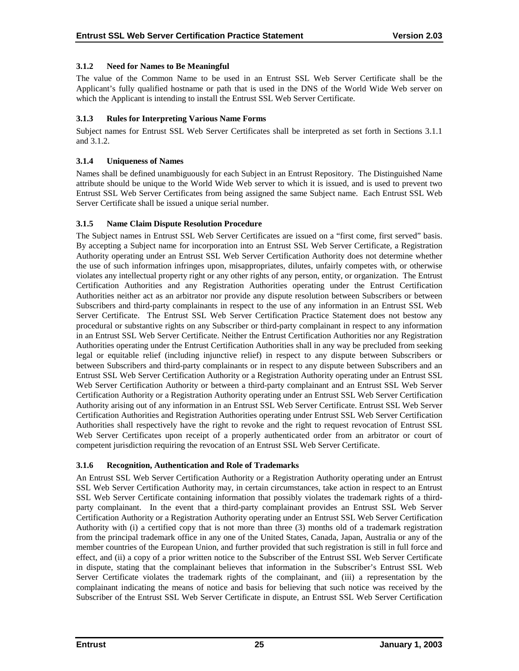# <span id="page-29-0"></span>**3.1.2 Need for Names to Be Meaningful**

The value of the Common Name to be used in an Entrust SSL Web Server Certificate shall be the Applicant's fully qualified hostname or path that is used in the DNS of the World Wide Web server on which the Applicant is intending to install the Entrust SSL Web Server Certificate.

# **3.1.3 Rules for Interpreting Various Name Forms**

Subject names for Entrust SSL Web Server Certificates shall be interpreted as set forth in Sections 3.1.1 and 3.1.2.

# **3.1.4 Uniqueness of Names**

Names shall be defined unambiguously for each Subject in an Entrust Repository. The Distinguished Name attribute should be unique to the World Wide Web server to which it is issued, and is used to prevent two Entrust SSL Web Server Certificates from being assigned the same Subject name. Each Entrust SSL Web Server Certificate shall be issued a unique serial number.

# **3.1.5 Name Claim Dispute Resolution Procedure**

The Subject names in Entrust SSL Web Server Certificates are issued on a "first come, first served" basis. By accepting a Subject name for incorporation into an Entrust SSL Web Server Certificate, a Registration Authority operating under an Entrust SSL Web Server Certification Authority does not determine whether the use of such information infringes upon, misappropriates, dilutes, unfairly competes with, or otherwise violates any intellectual property right or any other rights of any person, entity, or organization. The Entrust Certification Authorities and any Registration Authorities operating under the Entrust Certification Authorities neither act as an arbitrator nor provide any dispute resolution between Subscribers or between Subscribers and third-party complainants in respect to the use of any information in an Entrust SSL Web Server Certificate. The Entrust SSL Web Server Certification Practice Statement does not bestow any procedural or substantive rights on any Subscriber or third-party complainant in respect to any information in an Entrust SSL Web Server Certificate. Neither the Entrust Certification Authorities nor any Registration Authorities operating under the Entrust Certification Authorities shall in any way be precluded from seeking legal or equitable relief (including injunctive relief) in respect to any dispute between Subscribers or between Subscribers and third-party complainants or in respect to any dispute between Subscribers and an Entrust SSL Web Server Certification Authority or a Registration Authority operating under an Entrust SSL Web Server Certification Authority or between a third-party complainant and an Entrust SSL Web Server Certification Authority or a Registration Authority operating under an Entrust SSL Web Server Certification Authority arising out of any information in an Entrust SSL Web Server Certificate. Entrust SSL Web Server Certification Authorities and Registration Authorities operating under Entrust SSL Web Server Certification Authorities shall respectively have the right to revoke and the right to request revocation of Entrust SSL Web Server Certificates upon receipt of a properly authenticated order from an arbitrator or court of competent jurisdiction requiring the revocation of an Entrust SSL Web Server Certificate.

# **3.1.6 Recognition, Authentication and Role of Trademarks**

An Entrust SSL Web Server Certification Authority or a Registration Authority operating under an Entrust SSL Web Server Certification Authority may, in certain circumstances, take action in respect to an Entrust SSL Web Server Certificate containing information that possibly violates the trademark rights of a thirdparty complainant. In the event that a third-party complainant provides an Entrust SSL Web Server Certification Authority or a Registration Authority operating under an Entrust SSL Web Server Certification Authority with (i) a certified copy that is not more than three (3) months old of a trademark registration from the principal trademark office in any one of the United States, Canada, Japan, Australia or any of the member countries of the European Union, and further provided that such registration is still in full force and effect, and (ii) a copy of a prior written notice to the Subscriber of the Entrust SSL Web Server Certificate in dispute, stating that the complainant believes that information in the Subscriber's Entrust SSL Web Server Certificate violates the trademark rights of the complainant, and (iii) a representation by the complainant indicating the means of notice and basis for believing that such notice was received by the Subscriber of the Entrust SSL Web Server Certificate in dispute, an Entrust SSL Web Server Certification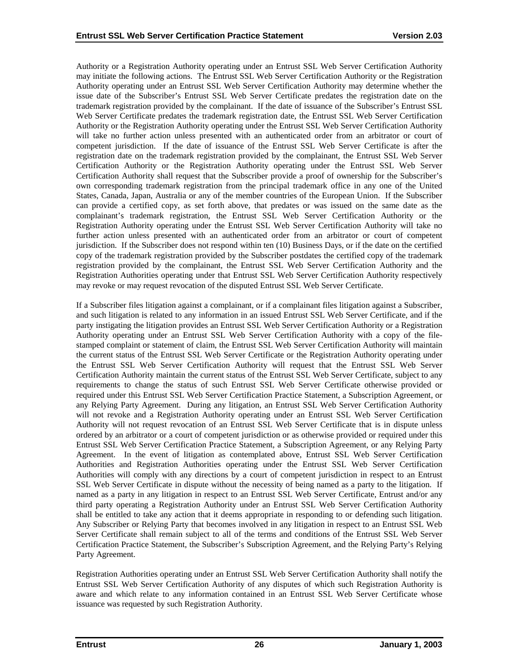Authority or a Registration Authority operating under an Entrust SSL Web Server Certification Authority may initiate the following actions. The Entrust SSL Web Server Certification Authority or the Registration Authority operating under an Entrust SSL Web Server Certification Authority may determine whether the issue date of the Subscriber's Entrust SSL Web Server Certificate predates the registration date on the trademark registration provided by the complainant. If the date of issuance of the Subscriber's Entrust SSL Web Server Certificate predates the trademark registration date, the Entrust SSL Web Server Certification Authority or the Registration Authority operating under the Entrust SSL Web Server Certification Authority will take no further action unless presented with an authenticated order from an arbitrator or court of competent jurisdiction. If the date of issuance of the Entrust SSL Web Server Certificate is after the registration date on the trademark registration provided by the complainant, the Entrust SSL Web Server Certification Authority or the Registration Authority operating under the Entrust SSL Web Server Certification Authority shall request that the Subscriber provide a proof of ownership for the Subscriber's own corresponding trademark registration from the principal trademark office in any one of the United States, Canada, Japan, Australia or any of the member countries of the European Union. If the Subscriber can provide a certified copy, as set forth above, that predates or was issued on the same date as the complainant's trademark registration, the Entrust SSL Web Server Certification Authority or the Registration Authority operating under the Entrust SSL Web Server Certification Authority will take no further action unless presented with an authenticated order from an arbitrator or court of competent jurisdiction. If the Subscriber does not respond within ten (10) Business Days, or if the date on the certified copy of the trademark registration provided by the Subscriber postdates the certified copy of the trademark registration provided by the complainant, the Entrust SSL Web Server Certification Authority and the Registration Authorities operating under that Entrust SSL Web Server Certification Authority respectively may revoke or may request revocation of the disputed Entrust SSL Web Server Certificate.

If a Subscriber files litigation against a complainant, or if a complainant files litigation against a Subscriber, and such litigation is related to any information in an issued Entrust SSL Web Server Certificate, and if the party instigating the litigation provides an Entrust SSL Web Server Certification Authority or a Registration Authority operating under an Entrust SSL Web Server Certification Authority with a copy of the filestamped complaint or statement of claim, the Entrust SSL Web Server Certification Authority will maintain the current status of the Entrust SSL Web Server Certificate or the Registration Authority operating under the Entrust SSL Web Server Certification Authority will request that the Entrust SSL Web Server Certification Authority maintain the current status of the Entrust SSL Web Server Certificate, subject to any requirements to change the status of such Entrust SSL Web Server Certificate otherwise provided or required under this Entrust SSL Web Server Certification Practice Statement, a Subscription Agreement, or any Relying Party Agreement. During any litigation, an Entrust SSL Web Server Certification Authority will not revoke and a Registration Authority operating under an Entrust SSL Web Server Certification Authority will not request revocation of an Entrust SSL Web Server Certificate that is in dispute unless ordered by an arbitrator or a court of competent jurisdiction or as otherwise provided or required under this Entrust SSL Web Server Certification Practice Statement, a Subscription Agreement, or any Relying Party Agreement. In the event of litigation as contemplated above, Entrust SSL Web Server Certification Authorities and Registration Authorities operating under the Entrust SSL Web Server Certification Authorities will comply with any directions by a court of competent jurisdiction in respect to an Entrust SSL Web Server Certificate in dispute without the necessity of being named as a party to the litigation. If named as a party in any litigation in respect to an Entrust SSL Web Server Certificate, Entrust and/or any third party operating a Registration Authority under an Entrust SSL Web Server Certification Authority shall be entitled to take any action that it deems appropriate in responding to or defending such litigation. Any Subscriber or Relying Party that becomes involved in any litigation in respect to an Entrust SSL Web Server Certificate shall remain subject to all of the terms and conditions of the Entrust SSL Web Server Certification Practice Statement, the Subscriber's Subscription Agreement, and the Relying Party's Relying Party Agreement.

Registration Authorities operating under an Entrust SSL Web Server Certification Authority shall notify the Entrust SSL Web Server Certification Authority of any disputes of which such Registration Authority is aware and which relate to any information contained in an Entrust SSL Web Server Certificate whose issuance was requested by such Registration Authority.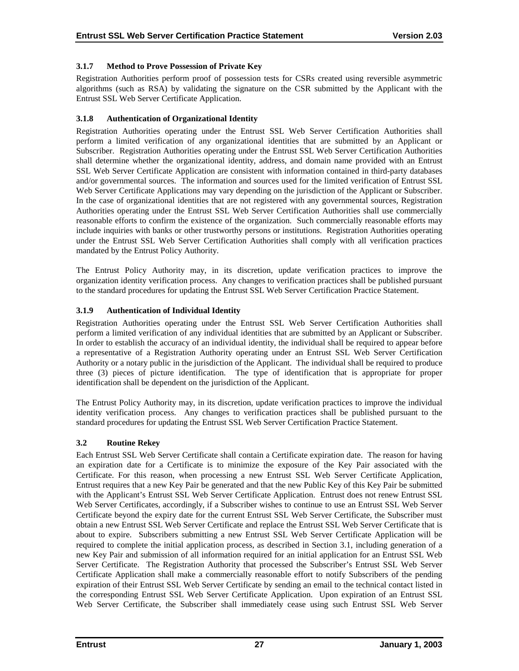# <span id="page-31-0"></span>**3.1.7 Method to Prove Possession of Private Key**

Registration Authorities perform proof of possession tests for CSRs created using reversible asymmetric algorithms (such as RSA) by validating the signature on the CSR submitted by the Applicant with the Entrust SSL Web Server Certificate Application.

# **3.1.8 Authentication of Organizational Identity**

Registration Authorities operating under the Entrust SSL Web Server Certification Authorities shall perform a limited verification of any organizational identities that are submitted by an Applicant or Subscriber. Registration Authorities operating under the Entrust SSL Web Server Certification Authorities shall determine whether the organizational identity, address, and domain name provided with an Entrust SSL Web Server Certificate Application are consistent with information contained in third-party databases and/or governmental sources. The information and sources used for the limited verification of Entrust SSL Web Server Certificate Applications may vary depending on the jurisdiction of the Applicant or Subscriber. In the case of organizational identities that are not registered with any governmental sources, Registration Authorities operating under the Entrust SSL Web Server Certification Authorities shall use commercially reasonable efforts to confirm the existence of the organization. Such commercially reasonable efforts may include inquiries with banks or other trustworthy persons or institutions. Registration Authorities operating under the Entrust SSL Web Server Certification Authorities shall comply with all verification practices mandated by the Entrust Policy Authority.

The Entrust Policy Authority may, in its discretion, update verification practices to improve the organization identity verification process. Any changes to verification practices shall be published pursuant to the standard procedures for updating the Entrust SSL Web Server Certification Practice Statement.

# **3.1.9 Authentication of Individual Identity**

Registration Authorities operating under the Entrust SSL Web Server Certification Authorities shall perform a limited verification of any individual identities that are submitted by an Applicant or Subscriber. In order to establish the accuracy of an individual identity, the individual shall be required to appear before a representative of a Registration Authority operating under an Entrust SSL Web Server Certification Authority or a notary public in the jurisdiction of the Applicant. The individual shall be required to produce three (3) pieces of picture identification. The type of identification that is appropriate for proper identification shall be dependent on the jurisdiction of the Applicant.

The Entrust Policy Authority may, in its discretion, update verification practices to improve the individual identity verification process. Any changes to verification practices shall be published pursuant to the standard procedures for updating the Entrust SSL Web Server Certification Practice Statement.

# **3.2 Routine Rekey**

Each Entrust SSL Web Server Certificate shall contain a Certificate expiration date. The reason for having an expiration date for a Certificate is to minimize the exposure of the Key Pair associated with the Certificate. For this reason, when processing a new Entrust SSL Web Server Certificate Application, Entrust requires that a new Key Pair be generated and that the new Public Key of this Key Pair be submitted with the Applicant's Entrust SSL Web Server Certificate Application. Entrust does not renew Entrust SSL Web Server Certificates, accordingly, if a Subscriber wishes to continue to use an Entrust SSL Web Server Certificate beyond the expiry date for the current Entrust SSL Web Server Certificate, the Subscriber must obtain a new Entrust SSL Web Server Certificate and replace the Entrust SSL Web Server Certificate that is about to expire. Subscribers submitting a new Entrust SSL Web Server Certificate Application will be required to complete the initial application process, as described in Section 3.1, including generation of a new Key Pair and submission of all information required for an initial application for an Entrust SSL Web Server Certificate. The Registration Authority that processed the Subscriber's Entrust SSL Web Server Certificate Application shall make a commercially reasonable effort to notify Subscribers of the pending expiration of their Entrust SSL Web Server Certificate by sending an email to the technical contact listed in the corresponding Entrust SSL Web Server Certificate Application. Upon expiration of an Entrust SSL Web Server Certificate, the Subscriber shall immediately cease using such Entrust SSL Web Server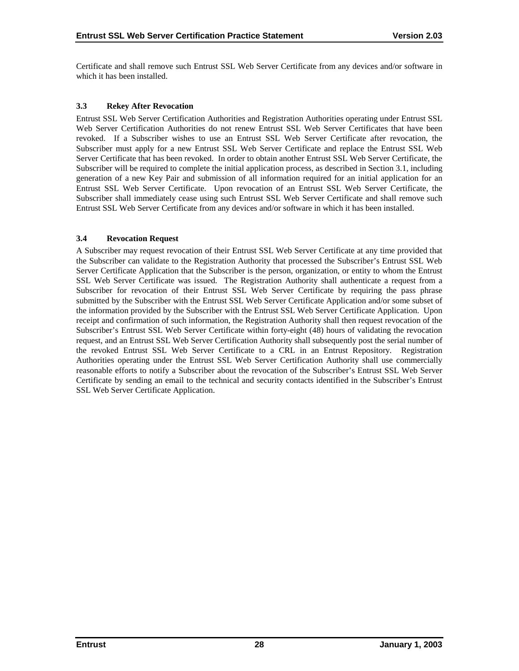<span id="page-32-0"></span>Certificate and shall remove such Entrust SSL Web Server Certificate from any devices and/or software in which it has been installed.

# **3.3 Rekey After Revocation**

Entrust SSL Web Server Certification Authorities and Registration Authorities operating under Entrust SSL Web Server Certification Authorities do not renew Entrust SSL Web Server Certificates that have been revoked. If a Subscriber wishes to use an Entrust SSL Web Server Certificate after revocation, the Subscriber must apply for a new Entrust SSL Web Server Certificate and replace the Entrust SSL Web Server Certificate that has been revoked. In order to obtain another Entrust SSL Web Server Certificate, the Subscriber will be required to complete the initial application process, as described in Section 3.1, including generation of a new Key Pair and submission of all information required for an initial application for an Entrust SSL Web Server Certificate. Upon revocation of an Entrust SSL Web Server Certificate, the Subscriber shall immediately cease using such Entrust SSL Web Server Certificate and shall remove such Entrust SSL Web Server Certificate from any devices and/or software in which it has been installed.

# **3.4 Revocation Request**

A Subscriber may request revocation of their Entrust SSL Web Server Certificate at any time provided that the Subscriber can validate to the Registration Authority that processed the Subscriber's Entrust SSL Web Server Certificate Application that the Subscriber is the person, organization, or entity to whom the Entrust SSL Web Server Certificate was issued. The Registration Authority shall authenticate a request from a Subscriber for revocation of their Entrust SSL Web Server Certificate by requiring the pass phrase submitted by the Subscriber with the Entrust SSL Web Server Certificate Application and/or some subset of the information provided by the Subscriber with the Entrust SSL Web Server Certificate Application. Upon receipt and confirmation of such information, the Registration Authority shall then request revocation of the Subscriber's Entrust SSL Web Server Certificate within forty-eight (48) hours of validating the revocation request, and an Entrust SSL Web Server Certification Authority shall subsequently post the serial number of the revoked Entrust SSL Web Server Certificate to a CRL in an Entrust Repository. Registration Authorities operating under the Entrust SSL Web Server Certification Authority shall use commercially reasonable efforts to notify a Subscriber about the revocation of the Subscriber's Entrust SSL Web Server Certificate by sending an email to the technical and security contacts identified in the Subscriber's Entrust SSL Web Server Certificate Application.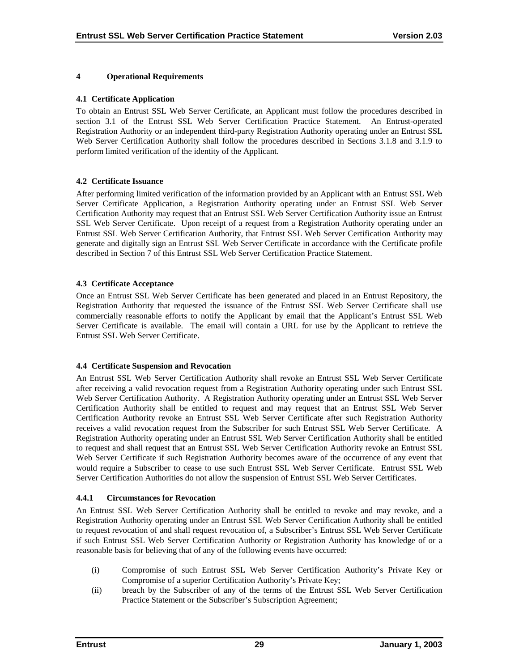#### <span id="page-33-0"></span>**4 Operational Requirements**

#### **4.1 Certificate Application**

To obtain an Entrust SSL Web Server Certificate, an Applicant must follow the procedures described in section 3.1 of the Entrust SSL Web Server Certification Practice Statement. An Entrust-operated Registration Authority or an independent third-party Registration Authority operating under an Entrust SSL Web Server Certification Authority shall follow the procedures described in Sections 3.1.8 and 3.1.9 to perform limited verification of the identity of the Applicant.

#### **4.2 Certificate Issuance**

After performing limited verification of the information provided by an Applicant with an Entrust SSL Web Server Certificate Application, a Registration Authority operating under an Entrust SSL Web Server Certification Authority may request that an Entrust SSL Web Server Certification Authority issue an Entrust SSL Web Server Certificate. Upon receipt of a request from a Registration Authority operating under an Entrust SSL Web Server Certification Authority, that Entrust SSL Web Server Certification Authority may generate and digitally sign an Entrust SSL Web Server Certificate in accordance with the Certificate profile described in Section 7 of this Entrust SSL Web Server Certification Practice Statement.

#### **4.3 Certificate Acceptance**

Once an Entrust SSL Web Server Certificate has been generated and placed in an Entrust Repository, the Registration Authority that requested the issuance of the Entrust SSL Web Server Certificate shall use commercially reasonable efforts to notify the Applicant by email that the Applicant's Entrust SSL Web Server Certificate is available. The email will contain a URL for use by the Applicant to retrieve the Entrust SSL Web Server Certificate.

#### **4.4 Certificate Suspension and Revocation**

An Entrust SSL Web Server Certification Authority shall revoke an Entrust SSL Web Server Certificate after receiving a valid revocation request from a Registration Authority operating under such Entrust SSL Web Server Certification Authority. A Registration Authority operating under an Entrust SSL Web Server Certification Authority shall be entitled to request and may request that an Entrust SSL Web Server Certification Authority revoke an Entrust SSL Web Server Certificate after such Registration Authority receives a valid revocation request from the Subscriber for such Entrust SSL Web Server Certificate. A Registration Authority operating under an Entrust SSL Web Server Certification Authority shall be entitled to request and shall request that an Entrust SSL Web Server Certification Authority revoke an Entrust SSL Web Server Certificate if such Registration Authority becomes aware of the occurrence of any event that would require a Subscriber to cease to use such Entrust SSL Web Server Certificate. Entrust SSL Web Server Certification Authorities do not allow the suspension of Entrust SSL Web Server Certificates.

#### **4.4.1 Circumstances for Revocation**

An Entrust SSL Web Server Certification Authority shall be entitled to revoke and may revoke, and a Registration Authority operating under an Entrust SSL Web Server Certification Authority shall be entitled to request revocation of and shall request revocation of, a Subscriber's Entrust SSL Web Server Certificate if such Entrust SSL Web Server Certification Authority or Registration Authority has knowledge of or a reasonable basis for believing that of any of the following events have occurred:

- (i) Compromise of such Entrust SSL Web Server Certification Authority's Private Key or Compromise of a superior Certification Authority's Private Key;
- (ii) breach by the Subscriber of any of the terms of the Entrust SSL Web Server Certification Practice Statement or the Subscriber's Subscription Agreement;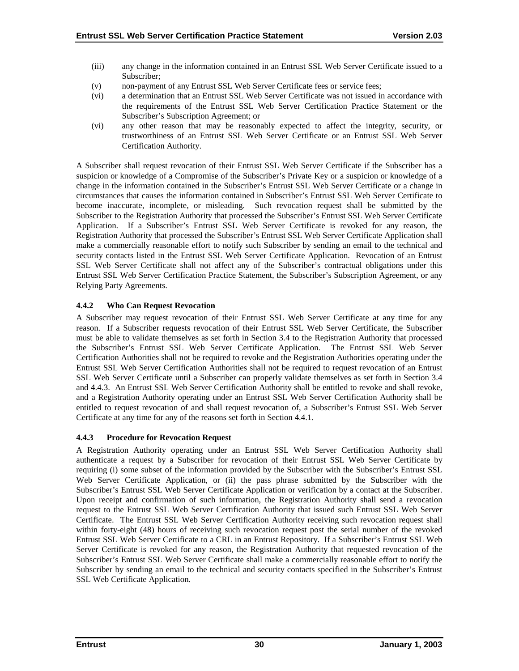- <span id="page-34-0"></span>(iii) any change in the information contained in an Entrust SSL Web Server Certificate issued to a Subscriber;
- (v) non-payment of any Entrust SSL Web Server Certificate fees or service fees;
- (vi) a determination that an Entrust SSL Web Server Certificate was not issued in accordance with the requirements of the Entrust SSL Web Server Certification Practice Statement or the Subscriber's Subscription Agreement; or
- (vi) any other reason that may be reasonably expected to affect the integrity, security, or trustworthiness of an Entrust SSL Web Server Certificate or an Entrust SSL Web Server Certification Authority.

A Subscriber shall request revocation of their Entrust SSL Web Server Certificate if the Subscriber has a suspicion or knowledge of a Compromise of the Subscriber's Private Key or a suspicion or knowledge of a change in the information contained in the Subscriber's Entrust SSL Web Server Certificate or a change in circumstances that causes the information contained in Subscriber's Entrust SSL Web Server Certificate to become inaccurate, incomplete, or misleading. Such revocation request shall be submitted by the Subscriber to the Registration Authority that processed the Subscriber's Entrust SSL Web Server Certificate Application. If a Subscriber's Entrust SSL Web Server Certificate is revoked for any reason, the Registration Authority that processed the Subscriber's Entrust SSL Web Server Certificate Application shall make a commercially reasonable effort to notify such Subscriber by sending an email to the technical and security contacts listed in the Entrust SSL Web Server Certificate Application. Revocation of an Entrust SSL Web Server Certificate shall not affect any of the Subscriber's contractual obligations under this Entrust SSL Web Server Certification Practice Statement, the Subscriber's Subscription Agreement, or any Relying Party Agreements.

# **4.4.2 Who Can Request Revocation**

A Subscriber may request revocation of their Entrust SSL Web Server Certificate at any time for any reason. If a Subscriber requests revocation of their Entrust SSL Web Server Certificate, the Subscriber must be able to validate themselves as set forth in Section 3.4 to the Registration Authority that processed the Subscriber's Entrust SSL Web Server Certificate Application. The Entrust SSL Web Server Certification Authorities shall not be required to revoke and the Registration Authorities operating under the Entrust SSL Web Server Certification Authorities shall not be required to request revocation of an Entrust SSL Web Server Certificate until a Subscriber can properly validate themselves as set forth in Section 3.4 and 4.4.3. An Entrust SSL Web Server Certification Authority shall be entitled to revoke and shall revoke, and a Registration Authority operating under an Entrust SSL Web Server Certification Authority shall be entitled to request revocation of and shall request revocation of, a Subscriber's Entrust SSL Web Server Certificate at any time for any of the reasons set forth in Section 4.4.1.

# **4.4.3 Procedure for Revocation Request**

A Registration Authority operating under an Entrust SSL Web Server Certification Authority shall authenticate a request by a Subscriber for revocation of their Entrust SSL Web Server Certificate by requiring (i) some subset of the information provided by the Subscriber with the Subscriber's Entrust SSL Web Server Certificate Application, or (ii) the pass phrase submitted by the Subscriber with the Subscriber's Entrust SSL Web Server Certificate Application or verification by a contact at the Subscriber. Upon receipt and confirmation of such information, the Registration Authority shall send a revocation request to the Entrust SSL Web Server Certification Authority that issued such Entrust SSL Web Server Certificate. The Entrust SSL Web Server Certification Authority receiving such revocation request shall within forty-eight (48) hours of receiving such revocation request post the serial number of the revoked Entrust SSL Web Server Certificate to a CRL in an Entrust Repository. If a Subscriber's Entrust SSL Web Server Certificate is revoked for any reason, the Registration Authority that requested revocation of the Subscriber's Entrust SSL Web Server Certificate shall make a commercially reasonable effort to notify the Subscriber by sending an email to the technical and security contacts specified in the Subscriber's Entrust SSL Web Certificate Application.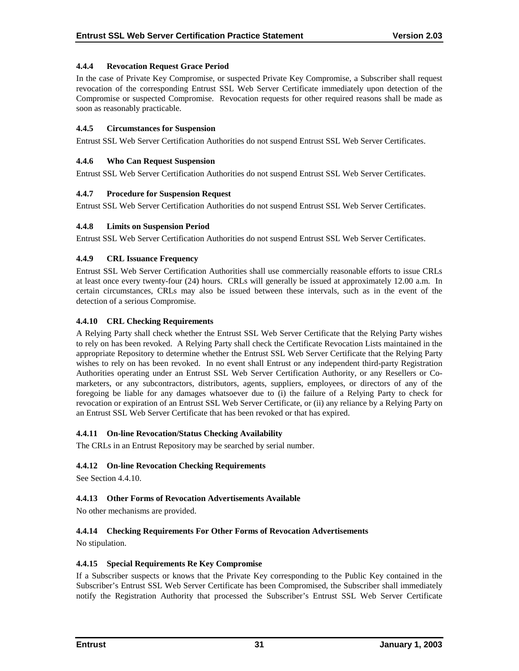# <span id="page-35-0"></span>**4.4.4 Revocation Request Grace Period**

In the case of Private Key Compromise, or suspected Private Key Compromise, a Subscriber shall request revocation of the corresponding Entrust SSL Web Server Certificate immediately upon detection of the Compromise or suspected Compromise. Revocation requests for other required reasons shall be made as soon as reasonably practicable.

## **4.4.5 Circumstances for Suspension**

Entrust SSL Web Server Certification Authorities do not suspend Entrust SSL Web Server Certificates.

## **4.4.6 Who Can Request Suspension**

Entrust SSL Web Server Certification Authorities do not suspend Entrust SSL Web Server Certificates.

## **4.4.7 Procedure for Suspension Request**

Entrust SSL Web Server Certification Authorities do not suspend Entrust SSL Web Server Certificates.

## **4.4.8 Limits on Suspension Period**

Entrust SSL Web Server Certification Authorities do not suspend Entrust SSL Web Server Certificates.

## **4.4.9 CRL Issuance Frequency**

Entrust SSL Web Server Certification Authorities shall use commercially reasonable efforts to issue CRLs at least once every twenty-four (24) hours. CRLs will generally be issued at approximately 12.00 a.m. In certain circumstances, CRLs may also be issued between these intervals, such as in the event of the detection of a serious Compromise.

## **4.4.10 CRL Checking Requirements**

A Relying Party shall check whether the Entrust SSL Web Server Certificate that the Relying Party wishes to rely on has been revoked. A Relying Party shall check the Certificate Revocation Lists maintained in the appropriate Repository to determine whether the Entrust SSL Web Server Certificate that the Relying Party wishes to rely on has been revoked. In no event shall Entrust or any independent third-party Registration Authorities operating under an Entrust SSL Web Server Certification Authority, or any Resellers or Comarketers, or any subcontractors, distributors, agents, suppliers, employees, or directors of any of the foregoing be liable for any damages whatsoever due to (i) the failure of a Relying Party to check for revocation or expiration of an Entrust SSL Web Server Certificate, or (ii) any reliance by a Relying Party on an Entrust SSL Web Server Certificate that has been revoked or that has expired.

# **4.4.11 On-line Revocation/Status Checking Availability**

The CRLs in an Entrust Repository may be searched by serial number.

# **4.4.12 On-line Revocation Checking Requirements**

See Section 4.4.10.

# **4.4.13 Other Forms of Revocation Advertisements Available**

No other mechanisms are provided.

# **4.4.14 Checking Requirements For Other Forms of Revocation Advertisements**

No stipulation.

#### **4.4.15 Special Requirements Re Key Compromise**

If a Subscriber suspects or knows that the Private Key corresponding to the Public Key contained in the Subscriber's Entrust SSL Web Server Certificate has been Compromised, the Subscriber shall immediately notify the Registration Authority that processed the Subscriber's Entrust SSL Web Server Certificate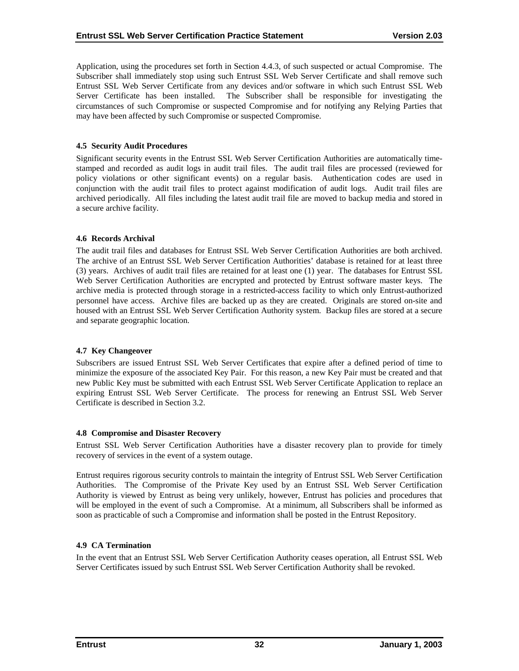<span id="page-36-0"></span>Application, using the procedures set forth in Section 4.4.3, of such suspected or actual Compromise. The Subscriber shall immediately stop using such Entrust SSL Web Server Certificate and shall remove such Entrust SSL Web Server Certificate from any devices and/or software in which such Entrust SSL Web Server Certificate has been installed. The Subscriber shall be responsible for investigating the circumstances of such Compromise or suspected Compromise and for notifying any Relying Parties that may have been affected by such Compromise or suspected Compromise.

## **4.5 Security Audit Procedures**

Significant security events in the Entrust SSL Web Server Certification Authorities are automatically timestamped and recorded as audit logs in audit trail files. The audit trail files are processed (reviewed for policy violations or other significant events) on a regular basis. Authentication codes are used in conjunction with the audit trail files to protect against modification of audit logs. Audit trail files are archived periodically. All files including the latest audit trail file are moved to backup media and stored in a secure archive facility.

## **4.6 Records Archival**

The audit trail files and databases for Entrust SSL Web Server Certification Authorities are both archived. The archive of an Entrust SSL Web Server Certification Authorities' database is retained for at least three (3) years. Archives of audit trail files are retained for at least one (1) year. The databases for Entrust SSL Web Server Certification Authorities are encrypted and protected by Entrust software master keys. The archive media is protected through storage in a restricted-access facility to which only Entrust-authorized personnel have access. Archive files are backed up as they are created. Originals are stored on-site and housed with an Entrust SSL Web Server Certification Authority system. Backup files are stored at a secure and separate geographic location.

#### **4.7 Key Changeover**

Subscribers are issued Entrust SSL Web Server Certificates that expire after a defined period of time to minimize the exposure of the associated Key Pair. For this reason, a new Key Pair must be created and that new Public Key must be submitted with each Entrust SSL Web Server Certificate Application to replace an expiring Entrust SSL Web Server Certificate. The process for renewing an Entrust SSL Web Server Certificate is described in Section 3.2.

#### **4.8 Compromise and Disaster Recovery**

Entrust SSL Web Server Certification Authorities have a disaster recovery plan to provide for timely recovery of services in the event of a system outage.

Entrust requires rigorous security controls to maintain the integrity of Entrust SSL Web Server Certification Authorities. The Compromise of the Private Key used by an Entrust SSL Web Server Certification Authority is viewed by Entrust as being very unlikely, however, Entrust has policies and procedures that will be employed in the event of such a Compromise. At a minimum, all Subscribers shall be informed as soon as practicable of such a Compromise and information shall be posted in the Entrust Repository.

# **4.9 CA Termination**

In the event that an Entrust SSL Web Server Certification Authority ceases operation, all Entrust SSL Web Server Certificates issued by such Entrust SSL Web Server Certification Authority shall be revoked.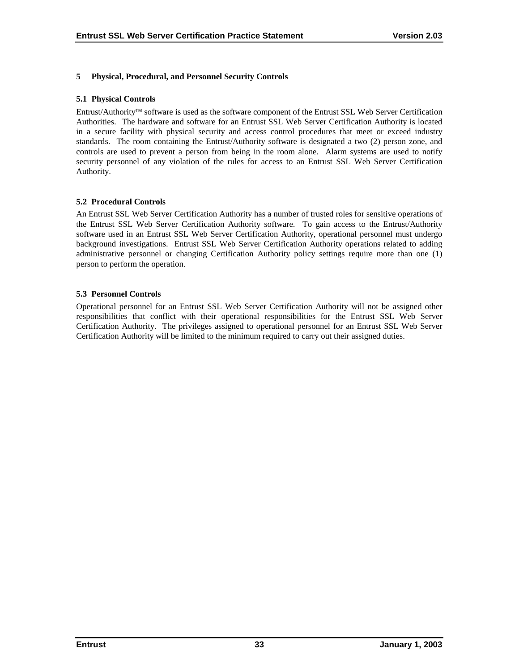# <span id="page-37-0"></span>**5 Physical, Procedural, and Personnel Security Controls**

## **5.1 Physical Controls**

Entrust/Authority software is used as the software component of the Entrust SSL Web Server Certification Authorities. The hardware and software for an Entrust SSL Web Server Certification Authority is located in a secure facility with physical security and access control procedures that meet or exceed industry standards. The room containing the Entrust/Authority software is designated a two (2) person zone, and controls are used to prevent a person from being in the room alone. Alarm systems are used to notify security personnel of any violation of the rules for access to an Entrust SSL Web Server Certification Authority.

## **5.2 Procedural Controls**

An Entrust SSL Web Server Certification Authority has a number of trusted roles for sensitive operations of the Entrust SSL Web Server Certification Authority software. To gain access to the Entrust/Authority software used in an Entrust SSL Web Server Certification Authority, operational personnel must undergo background investigations. Entrust SSL Web Server Certification Authority operations related to adding administrative personnel or changing Certification Authority policy settings require more than one (1) person to perform the operation.

## **5.3 Personnel Controls**

Operational personnel for an Entrust SSL Web Server Certification Authority will not be assigned other responsibilities that conflict with their operational responsibilities for the Entrust SSL Web Server Certification Authority. The privileges assigned to operational personnel for an Entrust SSL Web Server Certification Authority will be limited to the minimum required to carry out their assigned duties.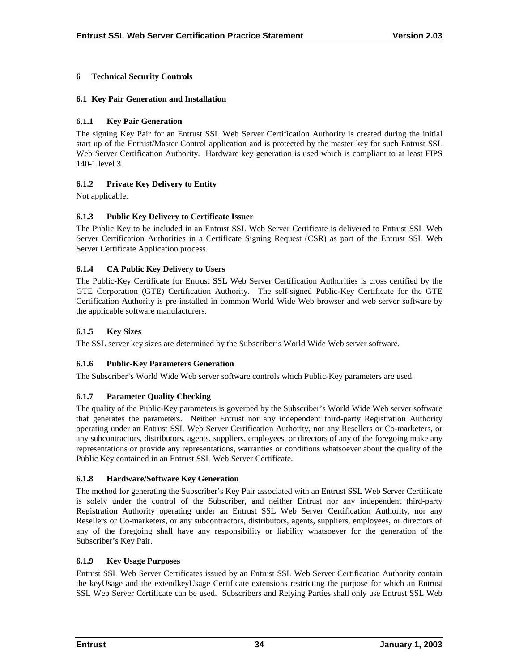# <span id="page-38-0"></span>**6 Technical Security Controls**

## **6.1 Key Pair Generation and Installation**

# **6.1.1 Key Pair Generation**

The signing Key Pair for an Entrust SSL Web Server Certification Authority is created during the initial start up of the Entrust/Master Control application and is protected by the master key for such Entrust SSL Web Server Certification Authority. Hardware key generation is used which is compliant to at least FIPS 140-1 level 3.

# **6.1.2 Private Key Delivery to Entity**

Not applicable.

# **6.1.3 Public Key Delivery to Certificate Issuer**

The Public Key to be included in an Entrust SSL Web Server Certificate is delivered to Entrust SSL Web Server Certification Authorities in a Certificate Signing Request (CSR) as part of the Entrust SSL Web Server Certificate Application process.

## **6.1.4 CA Public Key Delivery to Users**

The Public-Key Certificate for Entrust SSL Web Server Certification Authorities is cross certified by the GTE Corporation (GTE) Certification Authority. The self-signed Public-Key Certificate for the GTE Certification Authority is pre-installed in common World Wide Web browser and web server software by the applicable software manufacturers.

## **6.1.5 Key Sizes**

The SSL server key sizes are determined by the Subscriber's World Wide Web server software.

# **6.1.6 Public-Key Parameters Generation**

The Subscriber's World Wide Web server software controls which Public-Key parameters are used.

# **6.1.7 Parameter Quality Checking**

The quality of the Public-Key parameters is governed by the Subscriber's World Wide Web server software that generates the parameters. Neither Entrust nor any independent third-party Registration Authority operating under an Entrust SSL Web Server Certification Authority, nor any Resellers or Co-marketers, or any subcontractors, distributors, agents, suppliers, employees, or directors of any of the foregoing make any representations or provide any representations, warranties or conditions whatsoever about the quality of the Public Key contained in an Entrust SSL Web Server Certificate.

#### **6.1.8 Hardware/Software Key Generation**

The method for generating the Subscriber's Key Pair associated with an Entrust SSL Web Server Certificate is solely under the control of the Subscriber, and neither Entrust nor any independent third-party Registration Authority operating under an Entrust SSL Web Server Certification Authority, nor any Resellers or Co-marketers, or any subcontractors, distributors, agents, suppliers, employees, or directors of any of the foregoing shall have any responsibility or liability whatsoever for the generation of the Subscriber's Key Pair.

#### **6.1.9 Key Usage Purposes**

Entrust SSL Web Server Certificates issued by an Entrust SSL Web Server Certification Authority contain the keyUsage and the extendkeyUsage Certificate extensions restricting the purpose for which an Entrust SSL Web Server Certificate can be used. Subscribers and Relying Parties shall only use Entrust SSL Web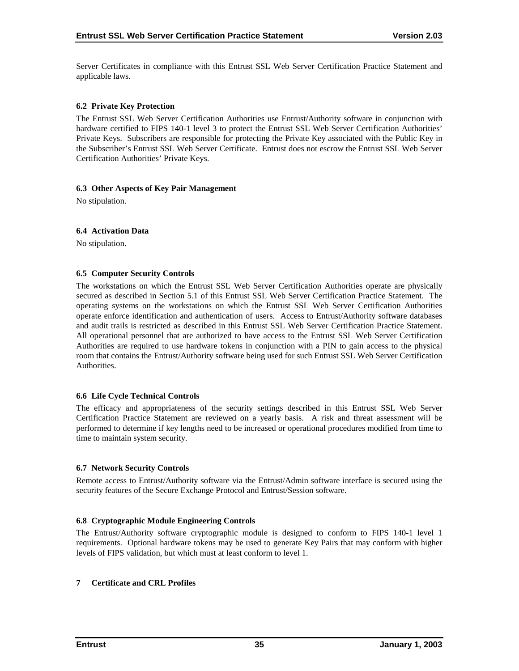<span id="page-39-0"></span>Server Certificates in compliance with this Entrust SSL Web Server Certification Practice Statement and applicable laws.

## **6.2 Private Key Protection**

The Entrust SSL Web Server Certification Authorities use Entrust/Authority software in conjunction with hardware certified to FIPS 140-1 level 3 to protect the Entrust SSL Web Server Certification Authorities' Private Keys. Subscribers are responsible for protecting the Private Key associated with the Public Key in the Subscriber's Entrust SSL Web Server Certificate. Entrust does not escrow the Entrust SSL Web Server Certification Authorities' Private Keys.

#### **6.3 Other Aspects of Key Pair Management**

No stipulation.

#### **6.4 Activation Data**

No stipulation.

#### **6.5 Computer Security Controls**

The workstations on which the Entrust SSL Web Server Certification Authorities operate are physically secured as described in Section 5.1 of this Entrust SSL Web Server Certification Practice Statement. The operating systems on the workstations on which the Entrust SSL Web Server Certification Authorities operate enforce identification and authentication of users. Access to Entrust/Authority software databases and audit trails is restricted as described in this Entrust SSL Web Server Certification Practice Statement. All operational personnel that are authorized to have access to the Entrust SSL Web Server Certification Authorities are required to use hardware tokens in conjunction with a PIN to gain access to the physical room that contains the Entrust/Authority software being used for such Entrust SSL Web Server Certification Authorities.

#### **6.6 Life Cycle Technical Controls**

The efficacy and appropriateness of the security settings described in this Entrust SSL Web Server Certification Practice Statement are reviewed on a yearly basis. A risk and threat assessment will be performed to determine if key lengths need to be increased or operational procedures modified from time to time to maintain system security.

#### **6.7 Network Security Controls**

Remote access to Entrust/Authority software via the Entrust/Admin software interface is secured using the security features of the Secure Exchange Protocol and Entrust/Session software.

#### **6.8 Cryptographic Module Engineering Controls**

The Entrust/Authority software cryptographic module is designed to conform to FIPS 140-1 level 1 requirements. Optional hardware tokens may be used to generate Key Pairs that may conform with higher levels of FIPS validation, but which must at least conform to level 1.

#### **7 Certificate and CRL Profiles**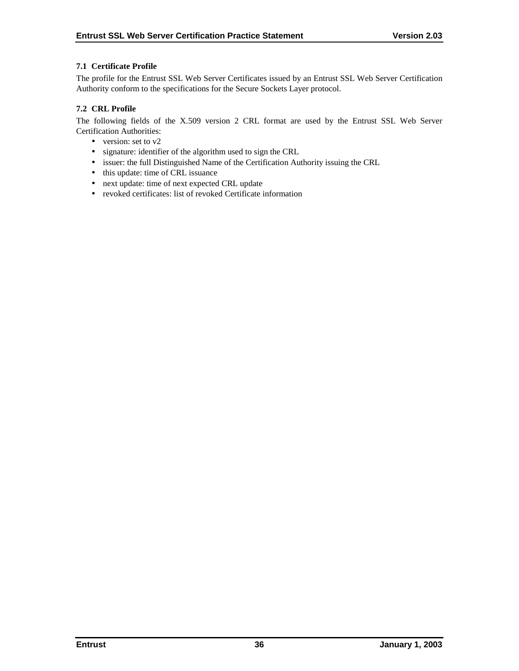## <span id="page-40-0"></span>**7.1 Certificate Profile**

The profile for the Entrust SSL Web Server Certificates issued by an Entrust SSL Web Server Certification Authority conform to the specifications for the Secure Sockets Layer protocol.

## **7.2 CRL Profile**

The following fields of the X.509 version 2 CRL format are used by the Entrust SSL Web Server Certification Authorities:

- version: set to v2
- signature: identifier of the algorithm used to sign the CRL
- issuer: the full Distinguished Name of the Certification Authority issuing the CRL
- this update: time of CRL issuance
- next update: time of next expected CRL update
- revoked certificates: list of revoked Certificate information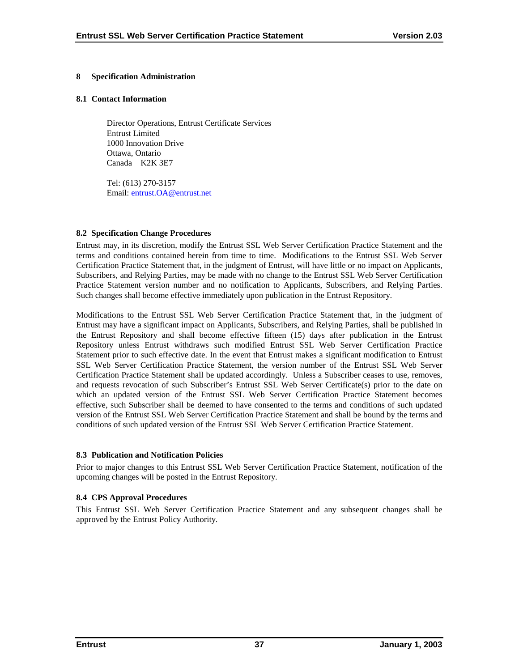## <span id="page-41-0"></span>**8 Specification Administration**

#### **8.1 Contact Information**

Director Operations, Entrust Certificate Services Entrust Limited 1000 Innovation Drive Ottawa, Ontario Canada K2K 3E7

Tel: (613) 270-3157 Email: [entrust.OA@entrust.net](mailto:???@entrust.net)

## **8.2 Specification Change Procedures**

Entrust may, in its discretion, modify the Entrust SSL Web Server Certification Practice Statement and the terms and conditions contained herein from time to time. Modifications to the Entrust SSL Web Server Certification Practice Statement that, in the judgment of Entrust, will have little or no impact on Applicants, Subscribers, and Relying Parties, may be made with no change to the Entrust SSL Web Server Certification Practice Statement version number and no notification to Applicants, Subscribers, and Relying Parties. Such changes shall become effective immediately upon publication in the Entrust Repository.

Modifications to the Entrust SSL Web Server Certification Practice Statement that, in the judgment of Entrust may have a significant impact on Applicants, Subscribers, and Relying Parties, shall be published in the Entrust Repository and shall become effective fifteen (15) days after publication in the Entrust Repository unless Entrust withdraws such modified Entrust SSL Web Server Certification Practice Statement prior to such effective date. In the event that Entrust makes a significant modification to Entrust SSL Web Server Certification Practice Statement, the version number of the Entrust SSL Web Server Certification Practice Statement shall be updated accordingly. Unless a Subscriber ceases to use, removes, and requests revocation of such Subscriber's Entrust SSL Web Server Certificate(s) prior to the date on which an updated version of the Entrust SSL Web Server Certification Practice Statement becomes effective, such Subscriber shall be deemed to have consented to the terms and conditions of such updated version of the Entrust SSL Web Server Certification Practice Statement and shall be bound by the terms and conditions of such updated version of the Entrust SSL Web Server Certification Practice Statement.

#### **8.3 Publication and Notification Policies**

Prior to major changes to this Entrust SSL Web Server Certification Practice Statement, notification of the upcoming changes will be posted in the Entrust Repository.

# **8.4 CPS Approval Procedures**

This Entrust SSL Web Server Certification Practice Statement and any subsequent changes shall be approved by the Entrust Policy Authority.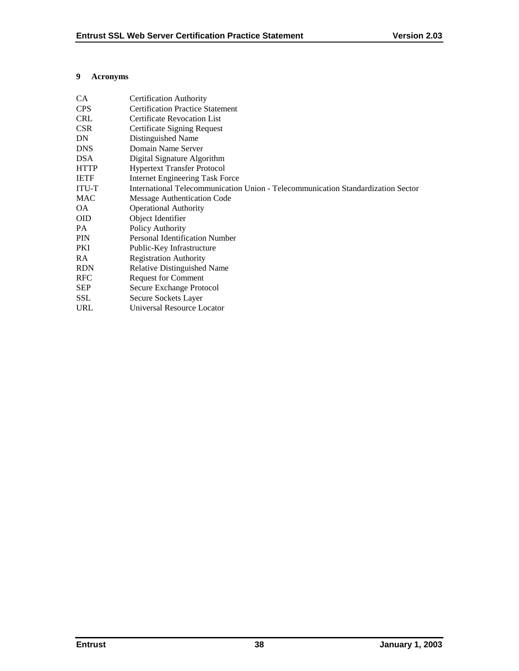## <span id="page-42-0"></span>**9 Acronyms**

| CA.         | <b>Certification Authority</b>                                                   |
|-------------|----------------------------------------------------------------------------------|
| <b>CPS</b>  | <b>Certification Practice Statement</b>                                          |
| <b>CRL</b>  | <b>Certificate Revocation List</b>                                               |
| <b>CSR</b>  | <b>Certificate Signing Request</b>                                               |
| DN          | Distinguished Name                                                               |
| <b>DNS</b>  | Domain Name Server                                                               |
| <b>DSA</b>  | Digital Signature Algorithm                                                      |
| <b>HTTP</b> | <b>Hypertext Transfer Protocol</b>                                               |
| <b>IETF</b> | <b>Internet Engineering Task Force</b>                                           |
| ITU-T       | International Telecommunication Union - Telecommunication Standardization Sector |
| <b>MAC</b>  | Message Authentication Code                                                      |
| OA.         | <b>Operational Authority</b>                                                     |
| <b>OID</b>  | Object Identifier                                                                |
| PA.         | Policy Authority                                                                 |
| <b>PIN</b>  | <b>Personal Identification Number</b>                                            |
| PKI         | Public-Key Infrastructure                                                        |
| RA          | <b>Registration Authority</b>                                                    |
| <b>RDN</b>  | <b>Relative Distinguished Name</b>                                               |
| <b>RFC</b>  | <b>Request for Comment</b>                                                       |
| <b>SEP</b>  | Secure Exchange Protocol                                                         |
| <b>SSL</b>  | Secure Sockets Layer                                                             |
| URL         | <b>Universal Resource Locator</b>                                                |
|             |                                                                                  |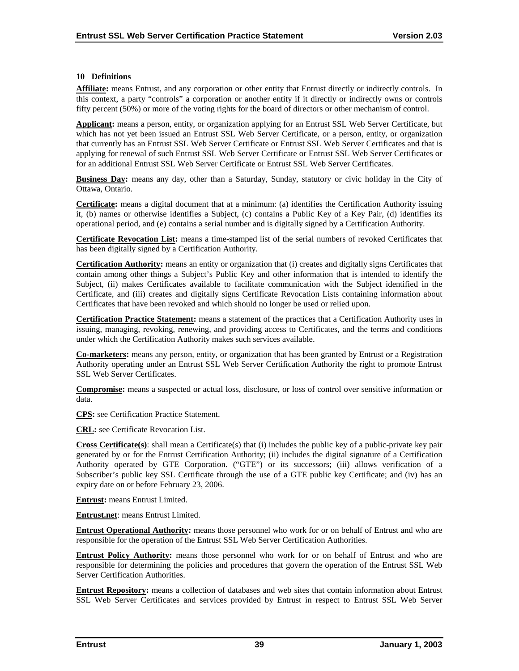#### <span id="page-43-0"></span>**10 Definitions**

**Affiliate:** means Entrust, and any corporation or other entity that Entrust directly or indirectly controls. In this context, a party "controls" a corporation or another entity if it directly or indirectly owns or controls fifty percent (50%) or more of the voting rights for the board of directors or other mechanism of control.

**Applicant:** means a person, entity, or organization applying for an Entrust SSL Web Server Certificate, but which has not yet been issued an Entrust SSL Web Server Certificate, or a person, entity, or organization that currently has an Entrust SSL Web Server Certificate or Entrust SSL Web Server Certificates and that is applying for renewal of such Entrust SSL Web Server Certificate or Entrust SSL Web Server Certificates or for an additional Entrust SSL Web Server Certificate or Entrust SSL Web Server Certificates.

**Business Day:** means any day, other than a Saturday, Sunday, statutory or civic holiday in the City of Ottawa, Ontario.

**Certificate:** means a digital document that at a minimum: (a) identifies the Certification Authority issuing it, (b) names or otherwise identifies a Subject, (c) contains a Public Key of a Key Pair, (d) identifies its operational period, and (e) contains a serial number and is digitally signed by a Certification Authority.

**Certificate Revocation List:** means a time-stamped list of the serial numbers of revoked Certificates that has been digitally signed by a Certification Authority.

**Certification Authority:** means an entity or organization that (i) creates and digitally signs Certificates that contain among other things a Subject's Public Key and other information that is intended to identify the Subject, (ii) makes Certificates available to facilitate communication with the Subject identified in the Certificate, and (iii) creates and digitally signs Certificate Revocation Lists containing information about Certificates that have been revoked and which should no longer be used or relied upon.

**Certification Practice Statement:** means a statement of the practices that a Certification Authority uses in issuing, managing, revoking, renewing, and providing access to Certificates, and the terms and conditions under which the Certification Authority makes such services available.

**Co-marketers:** means any person, entity, or organization that has been granted by Entrust or a Registration Authority operating under an Entrust SSL Web Server Certification Authority the right to promote Entrust SSL Web Server Certificates.

**Compromise:** means a suspected or actual loss, disclosure, or loss of control over sensitive information or data.

**CPS:** see Certification Practice Statement.

**CRL:** see Certificate Revocation List.

**Cross Certificate(s)**: shall mean a Certificate(s) that (i) includes the public key of a public-private key pair generated by or for the Entrust Certification Authority; (ii) includes the digital signature of a Certification Authority operated by GTE Corporation. ("GTE") or its successors; (iii) allows verification of a Subscriber's public key SSL Certificate through the use of a GTE public key Certificate; and (iv) has an expiry date on or before February 23, 2006.

**Entrust:** means Entrust Limited.

**Entrust.net**: means Entrust Limited.

**Entrust Operational Authority:** means those personnel who work for or on behalf of Entrust and who are responsible for the operation of the Entrust SSL Web Server Certification Authorities.

**Entrust Policy Authority:** means those personnel who work for or on behalf of Entrust and who are responsible for determining the policies and procedures that govern the operation of the Entrust SSL Web Server Certification Authorities.

**Entrust Repository:** means a collection of databases and web sites that contain information about Entrust SSL Web Server Certificates and services provided by Entrust in respect to Entrust SSL Web Server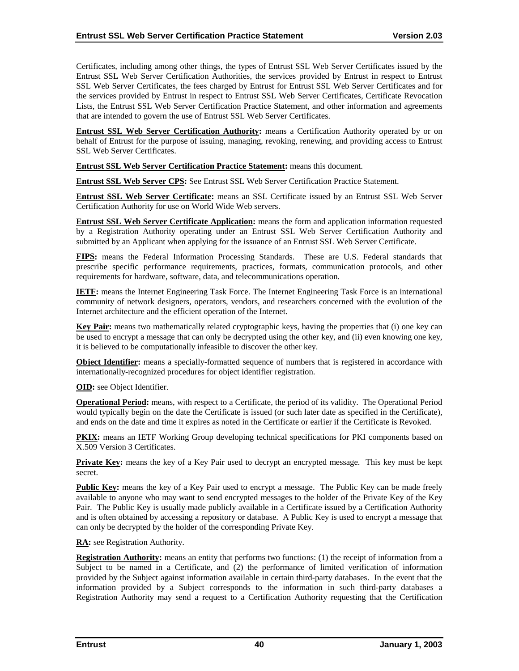Certificates, including among other things, the types of Entrust SSL Web Server Certificates issued by the Entrust SSL Web Server Certification Authorities, the services provided by Entrust in respect to Entrust SSL Web Server Certificates, the fees charged by Entrust for Entrust SSL Web Server Certificates and for the services provided by Entrust in respect to Entrust SSL Web Server Certificates, Certificate Revocation Lists, the Entrust SSL Web Server Certification Practice Statement, and other information and agreements that are intended to govern the use of Entrust SSL Web Server Certificates.

**Entrust SSL Web Server Certification Authority:** means a Certification Authority operated by or on behalf of Entrust for the purpose of issuing, managing, revoking, renewing, and providing access to Entrust SSL Web Server Certificates.

**Entrust SSL Web Server Certification Practice Statement:** means this document.

**Entrust SSL Web Server CPS:** See Entrust SSL Web Server Certification Practice Statement.

**Entrust SSL Web Server Certificate:** means an SSL Certificate issued by an Entrust SSL Web Server Certification Authority for use on World Wide Web servers.

**Entrust SSL Web Server Certificate Application:** means the form and application information requested by a Registration Authority operating under an Entrust SSL Web Server Certification Authority and submitted by an Applicant when applying for the issuance of an Entrust SSL Web Server Certificate.

**FIPS:** means the Federal Information Processing Standards. These are U.S. Federal standards that prescribe specific performance requirements, practices, formats, communication protocols, and other requirements for hardware, software, data, and telecommunications operation.

**IETF:** means the Internet Engineering Task Force. The Internet Engineering Task Force is an international community of network designers, operators, vendors, and researchers concerned with the evolution of the Internet architecture and the efficient operation of the Internet.

**Key Pair:** means two mathematically related cryptographic keys, having the properties that (i) one key can be used to encrypt a message that can only be decrypted using the other key, and (ii) even knowing one key, it is believed to be computationally infeasible to discover the other key.

**Object Identifier:** means a specially-formatted sequence of numbers that is registered in accordance with internationally-recognized procedures for object identifier registration.

**OID:** see Object Identifier.

**Operational Period:** means, with respect to a Certificate, the period of its validity. The Operational Period would typically begin on the date the Certificate is issued (or such later date as specified in the Certificate), and ends on the date and time it expires as noted in the Certificate or earlier if the Certificate is Revoked.

**PKIX:** means an IETF Working Group developing technical specifications for PKI components based on X.509 Version 3 Certificates.

**Private Key:** means the key of a Key Pair used to decrypt an encrypted message. This key must be kept secret.

**Public Key:** means the key of a Key Pair used to encrypt a message. The Public Key can be made freely available to anyone who may want to send encrypted messages to the holder of the Private Key of the Key Pair. The Public Key is usually made publicly available in a Certificate issued by a Certification Authority and is often obtained by accessing a repository or database. A Public Key is used to encrypt a message that can only be decrypted by the holder of the corresponding Private Key.

**RA:** see Registration Authority.

**Registration Authority:** means an entity that performs two functions: (1) the receipt of information from a Subject to be named in a Certificate, and (2) the performance of limited verification of information provided by the Subject against information available in certain third-party databases. In the event that the information provided by a Subject corresponds to the information in such third-party databases a Registration Authority may send a request to a Certification Authority requesting that the Certification